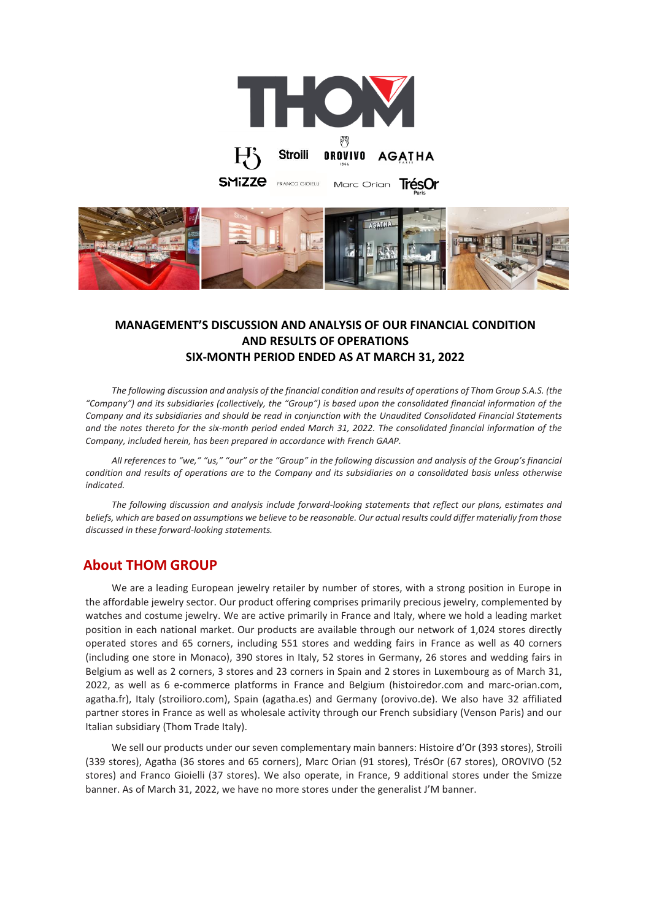



## **MANAGEMENT'S DISCUSSION AND ANALYSIS OF OUR FINANCIAL CONDITION AND RESULTS OF OPERATIONS SIX-MONTH PERIOD ENDED AS AT MARCH 31, 2022**

*The following discussion and analysis of the financial condition and results of operations of Thom Group S.A.S. (the "Company") and its subsidiaries (collectively, the "Group") is based upon the consolidated financial information of the Company and its subsidiaries and should be read in conjunction with the Unaudited Consolidated Financial Statements and the notes thereto for the six-month period ended March 31, 2022. The consolidated financial information of the Company, included herein, has been prepared in accordance with French GAAP.* 

*All references to "we," "us," "our" or the "Group" in the following discussion and analysis of the Group's financial condition and results of operations are to the Company and its subsidiaries on a consolidated basis unless otherwise indicated.*

*The following discussion and analysis include forward-looking statements that reflect our plans, estimates and beliefs, which are based on assumptions we believe to be reasonable. Our actual results could differ materially from those discussed in these forward-looking statements.* 

## **About THOM GROUP**

We are a leading European jewelry retailer by number of stores, with a strong position in Europe in the affordable jewelry sector. Our product offering comprises primarily precious jewelry, complemented by watches and costume jewelry. We are active primarily in France and Italy, where we hold a leading market position in each national market. Our products are available through our network of 1,024 stores directly operated stores and 65 corners, including 551 stores and wedding fairs in France as well as 40 corners (including one store in Monaco), 390 stores in Italy, 52 stores in Germany, 26 stores and wedding fairs in Belgium as well as 2 corners, 3 stores and 23 corners in Spain and 2 stores in Luxembourg as of March 31, 2022, as well as 6 e-commerce platforms in France and Belgium (histoiredor.com and marc-orian.com, agatha.fr), Italy (stroilioro.com), Spain (agatha.es) and Germany (orovivo.de). We also have 32 affiliated partner stores in France as well as wholesale activity through our French subsidiary (Venson Paris) and our Italian subsidiary (Thom Trade Italy).

We sell our products under our seven complementary main banners: Histoire d'Or (393 stores), Stroili (339 stores), Agatha (36 stores and 65 corners), Marc Orian (91 stores), TrésOr (67 stores), OROVIVO (52 stores) and Franco Gioielli (37 stores). We also operate, in France, 9 additional stores under the Smizze banner. As of March 31, 2022, we have no more stores under the generalist J'M banner.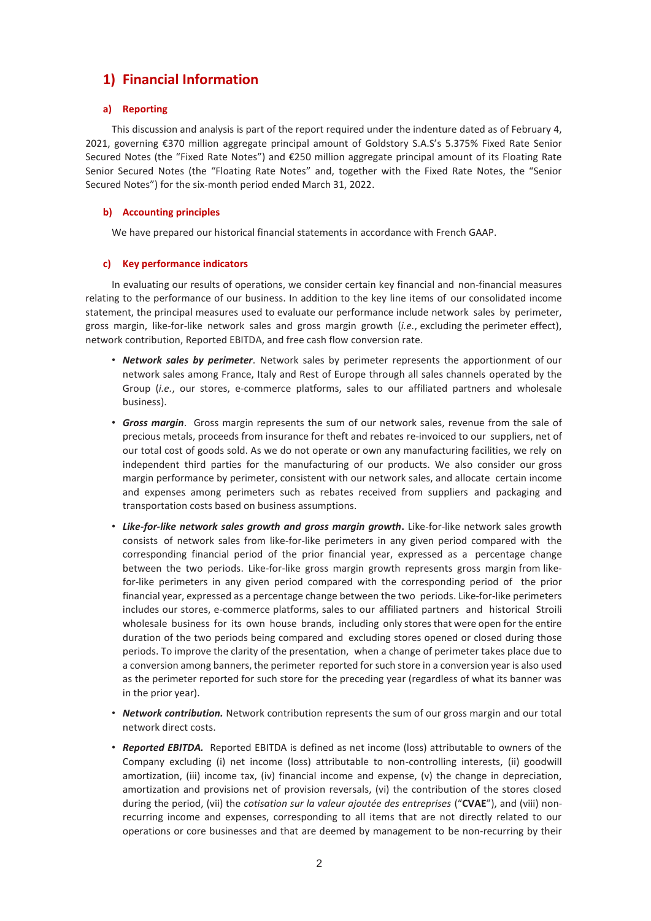# **1) Financial Information**

## **a) Reporting**

This discussion and analysis is part of the report required under the indenture dated as of February 4, 2021, governing €370 million aggregate principal amount of Goldstory S.A.S's 5.375% Fixed Rate Senior Secured Notes (the "Fixed Rate Notes") and €250 million aggregate principal amount of its Floating Rate Senior Secured Notes (the "Floating Rate Notes" and, together with the Fixed Rate Notes, the "Senior Secured Notes") for the six-month period ended March 31, 2022.

## **b) Accounting principles**

We have prepared our historical financial statements in accordance with French GAAP.

## **c) Key performance indicators**

In evaluating our results of operations, we consider certain key financial and non-financial measures relating to the performance of our business. In addition to the key line items of our consolidated income statement, the principal measures used to evaluate our performance include network sales by perimeter, gross margin, like-for-like network sales and gross margin growth (*i.e.*, excluding the perimeter effect), network contribution, Reported EBITDA, and free cash flow conversion rate.

- *Network sales by perimeter*. Network sales by perimeter represents the apportionment of our network sales among France, Italy and Rest of Europe through all sales channels operated by the Group (*i.e.*, our stores, e-commerce platforms, sales to our affiliated partners and wholesale business).
- *Gross margin*. Gross margin represents the sum of our network sales, revenue from the sale of precious metals, proceeds from insurance for theft and rebates re-invoiced to our suppliers, net of our total cost of goods sold. As we do not operate or own any manufacturing facilities, we rely on independent third parties for the manufacturing of our products. We also consider our gross margin performance by perimeter, consistent with our network sales, and allocate certain income and expenses among perimeters such as rebates received from suppliers and packaging and transportation costs based on business assumptions.
- Like-for-like network sales growth and gross margin growth. Like-for-like network sales growth consists of network sales from like-for-like perimeters in any given period compared with the corresponding financial period of the prior financial year, expressed as a percentage change between the two periods. Like-for-like gross margin growth represents gross margin from likefor-like perimeters in any given period compared with the corresponding period of the prior financial year, expressed as a percentage change between the two periods. Like-for-like perimeters includes our stores, e-commerce platforms, sales to our affiliated partners and historical Stroili wholesale business for its own house brands, including only stores that were open for the entire duration of the two periods being compared and excluding stores opened or closed during those periods. To improve the clarity of the presentation, when a change of perimeter takes place due to a conversion among banners, the perimeter reported for such store in a conversion year is also used as the perimeter reported for such store for the preceding year (regardless of what its banner was in the prior year).
- *Network contribution.* Network contribution represents the sum of our gross margin and our total network direct costs.
- *Reported EBITDA.* Reported EBITDA is defined as net income (loss) attributable to owners of the Company excluding (i) net income (loss) attributable to non-controlling interests, (ii) goodwill amortization, (iii) income tax, (iv) financial income and expense, (v) the change in depreciation, amortization and provisions net of provision reversals, (vi) the contribution of the stores closed during the period, (vii) the *cotisation sur la valeur ajoutée des entreprises* ("**CVAE**"), and (viii) nonrecurring income and expenses, corresponding to all items that are not directly related to our operations or core businesses and that are deemed by management to be non-recurring by their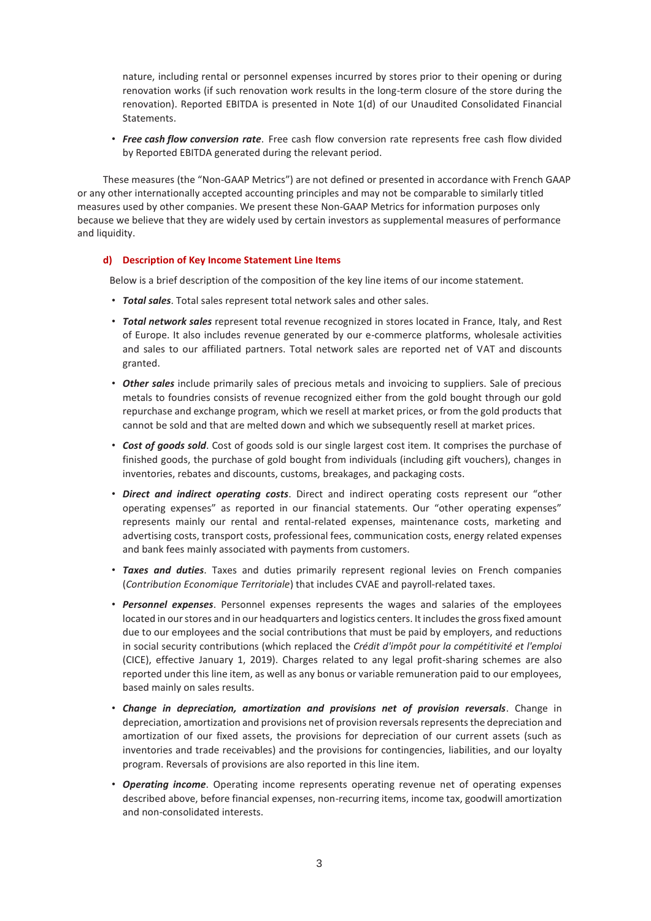nature, including rental or personnel expenses incurred by stores prior to their opening or during renovation works (if such renovation work results in the long-term closure of the store during the renovation). Reported EBITDA is presented in Note 1(d) of our Unaudited Consolidated Financial Statements.

• *Free cash flow conversion rate*. Free cash flow conversion rate represents free cash flow divided by Reported EBITDA generated during the relevant period.

These measures (the "Non-GAAP Metrics") are not defined or presented in accordance with French GAAP or any other internationally accepted accounting principles and may not be comparable to similarly titled measures used by other companies. We present these Non-GAAP Metrics for information purposes only because we believe that they are widely used by certain investors as supplemental measures of performance and liquidity.

## **d) Description of Key Income Statement Line Items**

Below is a brief description of the composition of the key line items of our income statement.

- *Total sales*. Total sales represent total network sales and other sales.
- *Total network sales* represent total revenue recognized in stores located in France, Italy, and Rest of Europe. It also includes revenue generated by our e-commerce platforms, wholesale activities and sales to our affiliated partners. Total network sales are reported net of VAT and discounts granted.
- *Other sales* include primarily sales of precious metals and invoicing to suppliers. Sale of precious metals to foundries consists of revenue recognized either from the gold bought through our gold repurchase and exchange program, which we resell at market prices, or from the gold products that cannot be sold and that are melted down and which we subsequently resell at market prices.
- *Cost of goods sold*. Cost of goods sold is our single largest cost item. It comprises the purchase of finished goods, the purchase of gold bought from individuals (including gift vouchers), changes in inventories, rebates and discounts, customs, breakages, and packaging costs.
- *Direct and indirect operating costs*. Direct and indirect operating costs represent our "other operating expenses" as reported in our financial statements. Our "other operating expenses" represents mainly our rental and rental-related expenses, maintenance costs, marketing and advertising costs, transport costs, professional fees, communication costs, energy related expenses and bank fees mainly associated with payments from customers.
- *Taxes and duties*. Taxes and duties primarily represent regional levies on French companies (*Contribution Economique Territoriale*) that includes CVAE and payroll-related taxes.
- *Personnel expenses*. Personnel expenses represents the wages and salaries of the employees located in our stores and in our headquarters and logistics centers. It includes the gross fixed amount due to our employees and the social contributions that must be paid by employers, and reductions in social security contributions (which replaced the *Crédit d'impôt pour la compétitivité et l'emploi* (CICE), effective January 1, 2019). Charges related to any legal profit-sharing schemes are also reported under this line item, as well as any bonus or variable remuneration paid to our employees, based mainly on sales results.
- *Change in depreciation, amortization and provisions net of provision reversals*. Change in depreciation, amortization and provisions net of provision reversals represents the depreciation and amortization of our fixed assets, the provisions for depreciation of our current assets (such as inventories and trade receivables) and the provisions for contingencies, liabilities, and our loyalty program. Reversals of provisions are also reported in this line item.
- *Operating income*. Operating income represents operating revenue net of operating expenses described above, before financial expenses, non-recurring items, income tax, goodwill amortization and non-consolidated interests.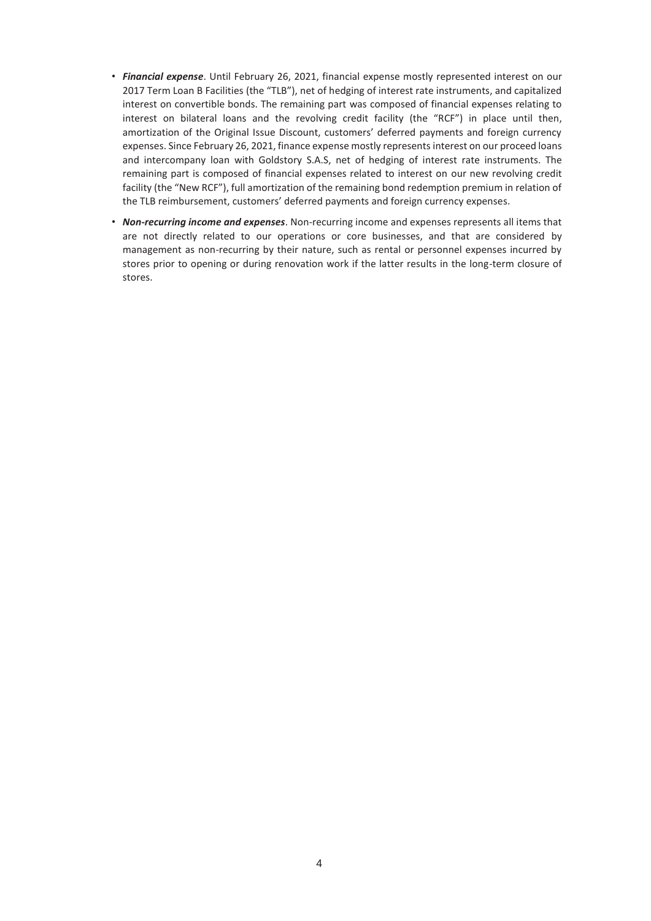- *Financial expense*. Until February 26, 2021, financial expense mostly represented interest on our 2017 Term Loan B Facilities (the "TLB"), net of hedging of interest rate instruments, and capitalized interest on convertible bonds. The remaining part was composed of financial expenses relating to interest on bilateral loans and the revolving credit facility (the "RCF") in place until then, amortization of the Original Issue Discount, customers' deferred payments and foreign currency expenses. Since February 26, 2021, finance expense mostly represents interest on our proceed loans and intercompany loan with Goldstory S.A.S, net of hedging of interest rate instruments. The remaining part is composed of financial expenses related to interest on our new revolving credit facility (the "New RCF"), full amortization of the remaining bond redemption premium in relation of the TLB reimbursement, customers' deferred payments and foreign currency expenses.
- *Non-recurring income and expenses*. Non-recurring income and expenses represents all items that are not directly related to our operations or core businesses, and that are considered by management as non-recurring by their nature, such as rental or personnel expenses incurred by stores prior to opening or during renovation work if the latter results in the long-term closure of stores.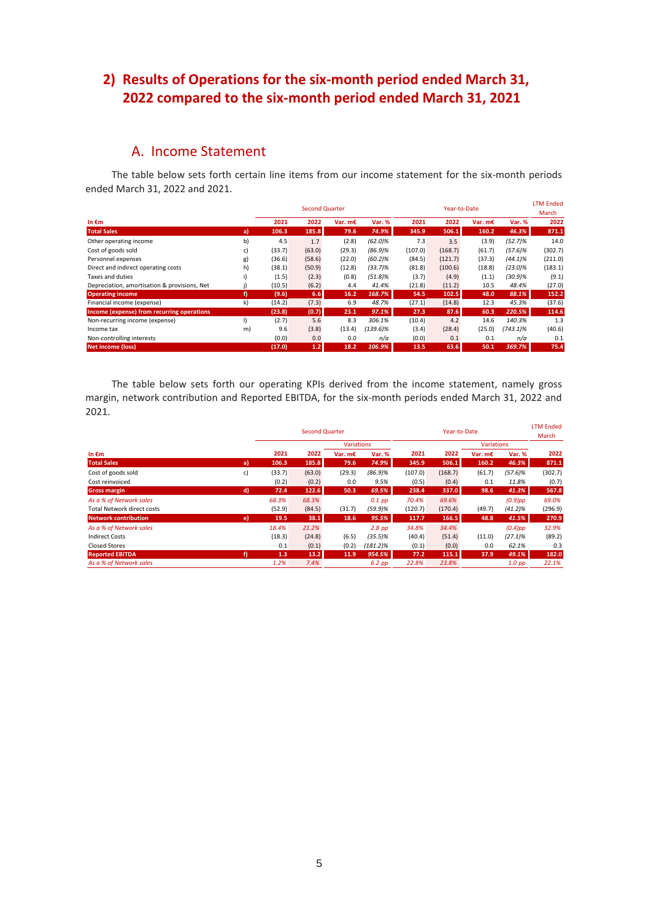# **2) Results of Operations for the six-month period ended March 31, 2022 compared to the six-month period ended March 31, 2021**

# A. Income Statement

The table below sets forth certain line items from our income statement for the six-month periods ended March 31, 2022 and 2021.

|                                              |    |        | <b>Second Quarter</b> |           |               |         | Year-to-Date |         |             | <b>LTM Ended</b><br>March |
|----------------------------------------------|----|--------|-----------------------|-----------|---------------|---------|--------------|---------|-------------|---------------------------|
| In $\epsilon$ m                              |    | 2021   | 2022                  | Var. $mE$ | <b>Var. %</b> | 2021    | 2022         | Var. m€ | Var. %      | 2022                      |
| <b>Total Sales</b>                           | a) | 106.3  | 185.8                 | 79.6      | 74.9%         | 345.9   | 506.1        | 160.2   | 46.3%       | 871.1                     |
| Other operating income                       | b) | 4.5    | 1.7                   | (2.8)     | $(62.0)\%$    | 7.3     | 3.5          | (3.9)   | (52.7)%     | 14.0                      |
| Cost of goods sold                           | C) | (33.7) | (63.0)                | (29.3)    | $(86.9)\%$    | (107.0) | (168.7)      | (61.7)  | (57.6)%     | (302.7)                   |
| Personnel expenses                           | g) | (36.6) | (58.6)                | (22.0)    | (60.2)%       | (84.5)  | (121.7)      | (37.3)  | (44.1)%     | (211.0)                   |
| Direct and indirect operating costs          | h) | (38.1) | (50.9)                | (12.8)    | $(33.7)\%$    | (81.8)  | (100.6)      | (18.8)  | (23.0)%     | (183.1)                   |
| Taxes and duties                             | i) | (1.5)  | (2.3)                 | (0.8)     | $(51.8)\%$    | (3.7)   | (4.9)        | (1.1)   | $(30.9)\%$  | (9.1)                     |
| Depreciation, amortisation & provisions, Net |    | (10.5) | (6.2)                 | 4.4       | 41.4%         | (21.8)  | (11.2)       | 10.5    | 48.4%       | (27.0)                    |
| <b>Operating income</b>                      | f) | (9.6)  | 6.6                   | 16.2      | 168.7%        | 54.5    | 102.5        | 48.0    | 88.1%       | 152.2                     |
| Financial income (expense)                   | k) | (14.2) | (7.3)                 | 6.9       | 48.7%         | (27.1)  | (14.8)       | 12.3    | 45.3%       | (37.6)                    |
| Income (expense) from recurring operations   |    | (23.8) | (0.7)                 | 23.1      | 97.1%         | 27.3    | 87.6         | 60.3    | 220.5%      | 114.6                     |
| Non-recurring income (expense)               |    | (2.7)  | 5.6                   | 8.3       | 306.1%        | (10.4)  | 4.2          | 14.6    | 140.3%      | 1.3                       |
| Income tax                                   | m) | 9.6    | (3.8)                 | (13.4)    | (139.6)%      | (3.4)   | (28.4)       | (25.0)  | $(743.1)\%$ | (40.6)                    |
| Non-controlling interests                    |    | (0.0)  | 0.0                   | 0.0       | n/a           | (0.0)   | 0.1          | 0.1     | n/a         | 0.1                       |
| <b>Net income (loss)</b>                     |    | (17.0) | 1.2                   | 18.2      | 106.9%        | 13.5    | 63.6         | 50.1    | 369.7%      | 75.4                      |

The table below sets forth our operating KPIs derived from the income statement, namely gross margin, network contribution and Reported EBITDA, for the six-month periods ended March 31, 2022 and 2021.

|                                   |    |        | <b>Second Quarter</b> |                   |             |         | Year-to-Date |           |               | <b>LTM Ended</b><br>March |
|-----------------------------------|----|--------|-----------------------|-------------------|-------------|---------|--------------|-----------|---------------|---------------------------|
|                                   |    |        |                       | <b>Variations</b> |             |         | Variations   |           |               |                           |
| In $\epsilon$ m                   |    | 2021   | 2022                  | Var. $mE$         | Var. %      | 2021    | 2022         | Var. $mE$ | <b>Var. %</b> | 2022                      |
| <b>Total Sales</b>                | a) | 106.3  | 185.8                 | 79.6              | 74.9%       | 345.9   | 506.1        | 160.2     | 46.3%         | 871.1                     |
| Cost of goods sold                | c) | (33.7) | (63.0)                | (29.3)            | $(86.9)\%$  | (107.0) | (168.7)      | (61.7)    | $(57.6)\%$    | (302.7)                   |
| Cost reinvoiced                   |    | (0.2)  | (0.2)                 | 0.0               | 9.5%        | (0.5)   | (0.4)        | 0.1       | 11.8%         | (0.7)                     |
| <b>Gross margin</b>               | d) | 72.4   | 122.6                 | 50.3              | 69.5%       | 238.4   | 337.0        | 98.6      | 41.3%         | 567.8                     |
| As a % of Network sales           |    | 68.3%  | 68.3%                 |                   | $0.1$ pp    | 70.4%   | 69.6%        |           | $(0.9)$ pp    | 69.0%                     |
| <b>Total Network direct costs</b> |    | (52.9) | (84.5)                | (31.7)            | (59.9)%     | (120.7) | (170.4)      | (49.7)    | $(41.2)\%$    | (296.9)                   |
| <b>Network contribution</b>       | e) | 19.5   | 38.1                  | 18.6              | 95.5%       | 117.7   | 166.5        | 48.8      | 41.5%         | 270.9                     |
| As a % of Network sales           |    | 18.4%  | 21.2%                 |                   | $2.8$ pp    | 34.8%   | 34.4%        |           | $(0.4)$ pp    | 32.9%                     |
| <b>Indirect Costs</b>             |    | (18.3) | (24.8)                | (6.5)             | (35.5)%     | (40.4)  | (51.4)       | (11.0)    | $(27.1)\%$    | (89.2)                    |
| <b>Closed Stores</b>              |    | 0.1    | (0.1)                 | (0.2)             | $(181.2)\%$ | (0.1)   | (0.0)        | 0.0       | 62.1%         | 0.3                       |
| <b>Reported EBITDA</b>            | f) | 1.3    | 13.2                  | 11.9              | 954.5%      | 77.2    | 115.1        | 37.9      | 49.1%         | 182.0                     |
| As a % of Network sales           |    | 1.2%   | 7.4%                  |                   | 6.2 pp      | 22.8%   | 23.8%        |           | $1.0$ pp      | 22.1%                     |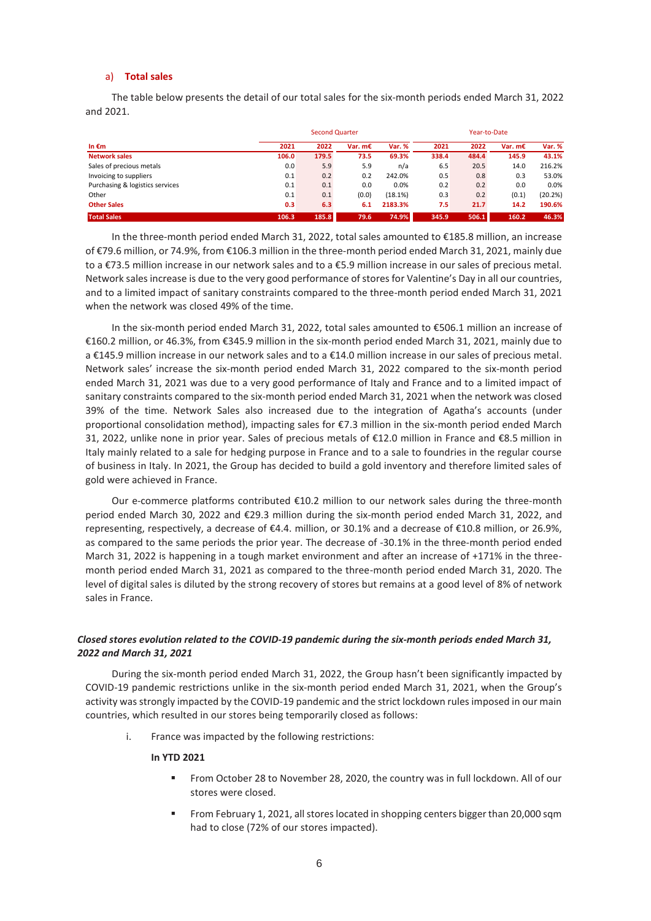### a) **Total sales**

The table below presents the detail of our total sales for the six-month periods ended March 31, 2022 and 2021.

|                                 |       |       | <b>Second Quarter</b> |         |       |       | Year-to-Date |         |  |  |
|---------------------------------|-------|-------|-----------------------|---------|-------|-------|--------------|---------|--|--|
| In $\epsilon$ m                 | 2021  | 2022  | Var. $mE$             | Var. %  | 2021  | 2022  | Var. $mE$    | Var. %  |  |  |
| <b>Network sales</b>            | 106.0 | 179.5 | 73.5                  | 69.3%   | 338.4 | 484.4 | 145.9        | 43.1%   |  |  |
| Sales of precious metals        | 0.0   | 5.9   | 5.9                   | n/a     | 6.5   | 20.5  | 14.0         | 216.2%  |  |  |
| Invoicing to suppliers          | 0.1   | 0.2   | 0.2                   | 242.0%  | 0.5   | 0.8   | 0.3          | 53.0%   |  |  |
| Purchasing & logistics services | 0.1   | 0.1   | 0.0                   | 0.0%    | 0.2   | 0.2   | 0.0          | 0.0%    |  |  |
| Other                           | 0.1   | 0.1   | (0.0)                 | (18.1%) | 0.3   | 0.2   | (0.1)        | (20.2%) |  |  |
| <b>Other Sales</b>              | 0.3   | 6.3   | 6.1                   | 2183.3% | 7.5   | 21.7  | 14.2         | 190.6%  |  |  |
| <b>Total Sales</b>              | 106.3 | 185.8 | 79.6                  | 74.9%   | 345.9 | 506.1 | 160.2        | 46.3%   |  |  |

In the three-month period ended March 31, 2022, total sales amounted to €185.8 million, an increase of €79.6 million, or 74.9%, from €106.3 million in the three-month period ended March 31, 2021, mainly due to a €73.5 million increase in our network sales and to a €5.9 million increase in our sales of precious metal. Network sales increase is due to the very good performance of stores for Valentine's Day in all our countries, and to a limited impact of sanitary constraints compared to the three-month period ended March 31, 2021 when the network was closed 49% of the time.

In the six-month period ended March 31, 2022, total sales amounted to €506.1 million an increase of €160.2 million, or 46.3%, from €345.9 million in the six-month period ended March 31, 2021, mainly due to a €145.9 million increase in our network sales and to a €14.0 million increase in our sales of precious metal. Network sales' increase the six-month period ended March 31, 2022 compared to the six-month period ended March 31, 2021 was due to a very good performance of Italy and France and to a limited impact of sanitary constraints compared to the six-month period ended March 31, 2021 when the network was closed 39% of the time. Network Sales also increased due to the integration of Agatha's accounts (under proportional consolidation method), impacting sales for €7.3 million in the six-month period ended March 31, 2022, unlike none in prior year. Sales of precious metals of €12.0 million in France and €8.5 million in Italy mainly related to a sale for hedging purpose in France and to a sale to foundries in the regular course of business in Italy. In 2021, the Group has decided to build a gold inventory and therefore limited sales of gold were achieved in France.

Our e-commerce platforms contributed  $\epsilon$ 10.2 million to our network sales during the three-month period ended March 30, 2022 and €29.3 million during the six-month period ended March 31, 2022, and representing, respectively, a decrease of €4.4. million, or 30.1% and a decrease of €10.8 million, or 26.9%, as compared to the same periods the prior year. The decrease of -30.1% in the three-month period ended March 31, 2022 is happening in a tough market environment and after an increase of +171% in the threemonth period ended March 31, 2021 as compared to the three-month period ended March 31, 2020. The level of digital sales is diluted by the strong recovery of stores but remains at a good level of 8% of network sales in France.

## *Closed stores evolution related to the COVID-19 pandemic during the six-month periods ended March 31, 2022 and March 31, 2021*

During the six-month period ended March 31, 2022, the Group hasn't been significantly impacted by COVID-19 pandemic restrictions unlike in the six-month period ended March 31, 2021, when the Group's activity was strongly impacted by the COVID-19 pandemic and the strict lockdown rules imposed in our main countries, which resulted in our stores being temporarily closed as follows:

i. France was impacted by the following restrictions:

## **In YTD 2021**

- From October 28 to November 28, 2020, the country was in full lockdown. All of our stores were closed.
- From February 1, 2021, all stores located in shopping centers bigger than 20,000 sqm had to close (72% of our stores impacted).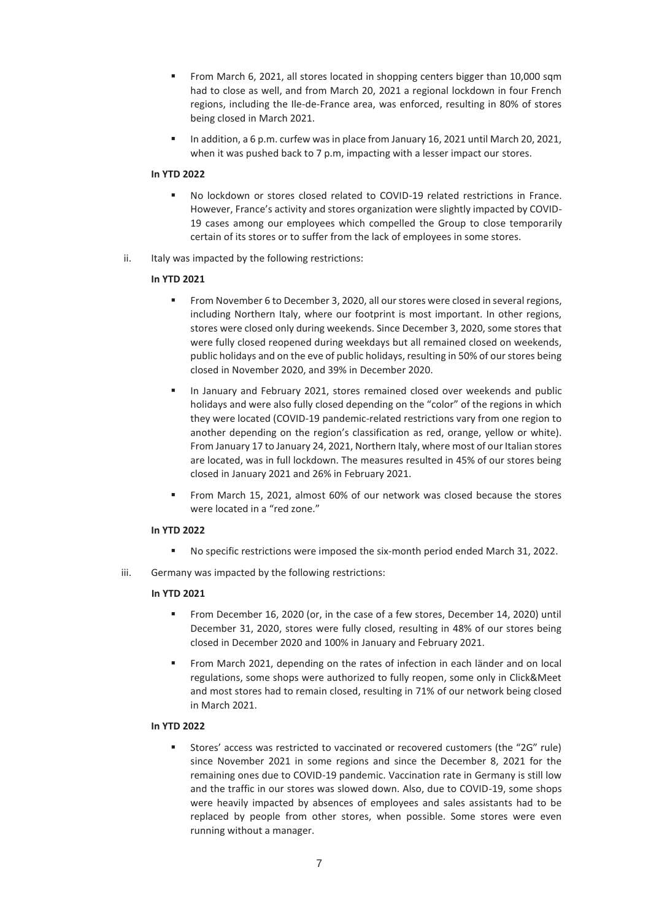- From March 6, 2021, all stores located in shopping centers bigger than 10,000 sqm had to close as well, and from March 20, 2021 a regional lockdown in four French regions, including the Ile-de-France area, was enforced, resulting in 80% of stores being closed in March 2021.
- In addition, a 6 p.m. curfew was in place from January 16, 2021 until March 20, 2021, when it was pushed back to 7 p.m. impacting with a lesser impact our stores.

## **In YTD 2022**

- No lockdown or stores closed related to COVID-19 related restrictions in France. However, France's activity and stores organization were slightly impacted by COVID-19 cases among our employees which compelled the Group to close temporarily certain of its stores or to suffer from the lack of employees in some stores.
- ii. Italy was impacted by the following restrictions:

## **In YTD 2021**

- From November 6 to December 3, 2020, all our stores were closed in several regions, including Northern Italy, where our footprint is most important. In other regions, stores were closed only during weekends. Since December 3, 2020, some stores that were fully closed reopened during weekdays but all remained closed on weekends, public holidays and on the eve of public holidays, resulting in 50% of our stores being closed in November 2020, and 39% in December 2020.
- In January and February 2021, stores remained closed over weekends and public holidays and were also fully closed depending on the "color" of the regions in which they were located (COVID-19 pandemic-related restrictions vary from one region to another depending on the region's classification as red, orange, yellow or white). From January 17 to January 24, 2021, Northern Italy, where most of our Italian stores are located, was in full lockdown. The measures resulted in 45% of our stores being closed in January 2021 and 26% in February 2021.
- From March 15, 2021, almost 60% of our network was closed because the stores were located in a "red zone."

## **In YTD 2022**

- No specific restrictions were imposed the six-month period ended March 31, 2022.
- iii. Germany was impacted by the following restrictions:

## **In YTD 2021**

- From December 16, 2020 (or, in the case of a few stores, December 14, 2020) until December 31, 2020, stores were fully closed, resulting in 48% of our stores being closed in December 2020 and 100% in January and February 2021.
- From March 2021, depending on the rates of infection in each länder and on local regulations, some shops were authorized to fully reopen, some only in Click&Meet and most stores had to remain closed, resulting in 71% of our network being closed in March 2021.

## **In YTD 2022**

Stores' access was restricted to vaccinated or recovered customers (the "2G" rule) since November 2021 in some regions and since the December 8, 2021 for the remaining ones due to COVID-19 pandemic. Vaccination rate in Germany is still low and the traffic in our stores was slowed down. Also, due to COVID-19, some shops were heavily impacted by absences of employees and sales assistants had to be replaced by people from other stores, when possible. Some stores were even running without a manager.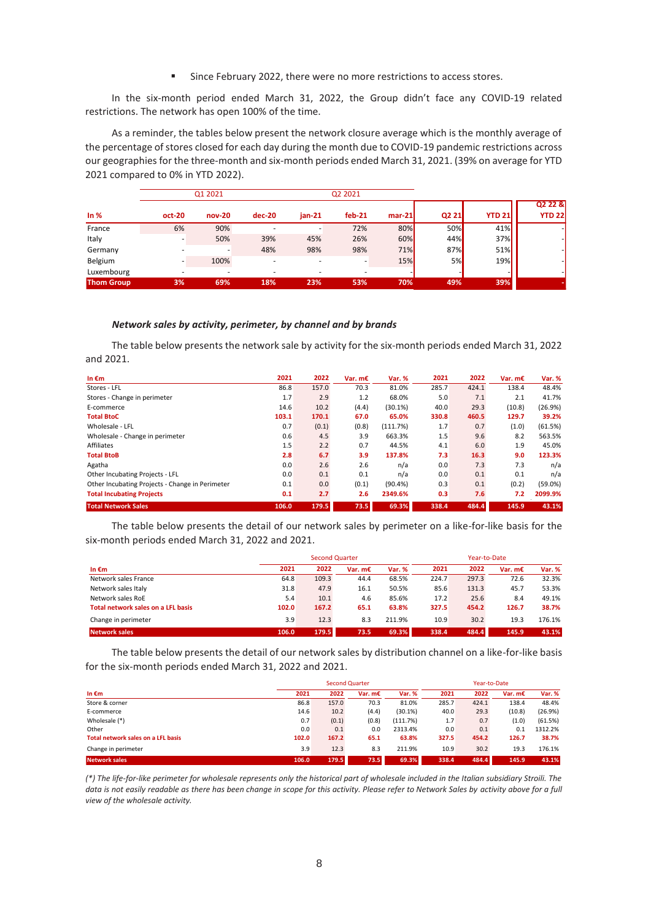■ Since February 2022, there were no more restrictions to access stores.

In the six-month period ended March 31, 2022, the Group didn't face any COVID-19 related restrictions. The network has open 100% of the time.

As a reminder, the tables below present the network closure average which is the monthly average of the percentage of stores closed for each day during the month due to COVID-19 pandemic restrictions across our geographies for the three-month and six-month periods ended March 31, 2021. (39% on average for YTD 2021 compared to 0% in YTD 2022).

|                   |        | Q1 2021  |                          | Q2 2021                  |          |          |           |               |               |
|-------------------|--------|----------|--------------------------|--------------------------|----------|----------|-----------|---------------|---------------|
|                   |        |          |                          |                          |          |          |           |               | Q2 22 &       |
| In $%$            | oct-20 | $nov-20$ | $dec-20$                 | $jan-21$                 | $feb-21$ | $mar-21$ | Q2 21     | <b>YTD 21</b> | <b>YTD 22</b> |
| France            | 6%     | 90%      | -                        |                          | 72%      | 80%      | 50%       | 41%           |               |
| Italy             |        | 50%      | 39%                      | 45%                      | 26%      | 60%      | 44%       | 37%           |               |
| Germany           |        | -        | 48%                      | 98%                      | 98%      | 71%      | 87%       | 51%           |               |
| Belgium           |        | 100%     | $\overline{\phantom{a}}$ |                          |          | 15%      | <b>5%</b> | 19%           |               |
| Luxembourg        |        |          | -                        | $\overline{\phantom{a}}$ |          |          |           |               |               |
| <b>Thom Group</b> | 3%     | 69%      | 18%                      | 23%                      | 53%      | 70%      | 49%       | 39%           |               |

#### *Network sales by activity, perimeter, by channel and by brands*

The table below presents the network sale by activity for the six-month periods ended March 31, 2022 and 2021.

| In $\epsilon$ m                                 | 2021  | 2022  | Var. $mE$ | Var. %     | 2021  | 2022  | Var. $mE$ | Var. %  |
|-------------------------------------------------|-------|-------|-----------|------------|-------|-------|-----------|---------|
| Stores - LFL                                    | 86.8  | 157.0 | 70.3      | 81.0%      | 285.7 | 424.1 | 138.4     | 48.4%   |
| Stores - Change in perimeter                    | 1.7   | 2.9   | 1.2       | 68.0%      | 5.0   | 7.1   | 2.1       | 41.7%   |
| E-commerce                                      | 14.6  | 10.2  | (4.4)     | (30.1%)    | 40.0  | 29.3  | (10.8)    | (26.9%) |
| <b>Total BtoC</b>                               | 103.1 | 170.1 | 67.0      | 65.0%      | 330.8 | 460.5 | 129.7     | 39.2%   |
| Wholesale - LFL                                 | 0.7   | (0.1) | (0.8)     | (111.7%)   | 1.7   | 0.7   | (1.0)     | (61.5%) |
| Wholesale - Change in perimeter                 | 0.6   | 4.5   | 3.9       | 663.3%     | 1.5   | 9.6   | 8.2       | 563.5%  |
| Affiliates                                      | 1.5   | 2.2   | 0.7       | 44.5%      | 4.1   | 6.0   | 1.9       | 45.0%   |
| <b>Total BtoB</b>                               | 2.8   | 6.7   | 3.9       | 137.8%     | 7.3   | 16.3  | 9.0       | 123.3%  |
| Agatha                                          | 0.0   | 2.6   | 2.6       | n/a        | 0.0   | 7.3   | 7.3       | n/a     |
| Other Incubating Projects - LFL                 | 0.0   | 0.1   | 0.1       | n/a        | 0.0   | 0.1   | 0.1       | n/a     |
| Other Incubating Projects - Change in Perimeter | 0.1   | 0.0   | (0.1)     | $(90.4\%)$ | 0.3   | 0.1   | (0.2)     | (59.0%) |
| <b>Total Incubating Projects</b>                | 0.1   | 2.7   | 2.6       | 2349.6%    | 0.3   | 7.6   | 7.2       | 2099.9% |
| <b>Total Network Sales</b>                      | 106.0 | 179.5 | 73.5      | 69.3%      | 338.4 | 484.4 | 145.9     | 43.1%   |

The table below presents the detail of our network sales by perimeter on a like-for-like basis for the six-month periods ended March 31, 2022 and 2021.

| In $\epsilon$ m                    |       |       | <b>Second Quarter</b> |               |       | Year-to-Date |           |        |  |
|------------------------------------|-------|-------|-----------------------|---------------|-------|--------------|-----------|--------|--|
|                                    | 2021  | 2022  | Var. $mE$             | <b>Var. %</b> | 2021  | 2022         | Var. $mE$ | Var. % |  |
| Network sales France               | 64.8  | 109.3 | 44.4                  | 68.5%         | 224.7 | 297.3        | 72.6      | 32.3%  |  |
| Network sales Italy                | 31.8  | 47.9  | 16.1                  | 50.5%         | 85.6  | 131.3        | 45.7      | 53.3%  |  |
| Network sales RoE                  | 5.4   | 10.1  | 4.6                   | 85.6%         | 17.2  | 25.6         | 8.4       | 49.1%  |  |
| Total network sales on a LFL basis | 102.0 | 167.2 | 65.1                  | 63.8%         | 327.5 | 454.2        | 126.7     | 38.7%  |  |
| Change in perimeter                | 3.9   | 12.3  | 8.3                   | 211.9%        | 10.9  | 30.2         | 19.3      | 176.1% |  |
| <b>Network sales</b>               | 106.0 | 179.5 | 73.5                  | 69.3%         | 338.4 | 484.4        | 145.9     | 43.1%  |  |

The table below presents the detail of our network sales by distribution channel on a like-for-like basis for the six-month periods ended March 31, 2022 and 2021.

|                                    |       |       | <b>Second Quarter</b> |               | Year-to-Date |       |         |         |
|------------------------------------|-------|-------|-----------------------|---------------|--------------|-------|---------|---------|
| In $\epsilon$ m                    | 2021  | 2022  | Var. $mE$             | <b>Var. %</b> | 2021         | 2022  | Var. m€ | Var. %  |
| Store & corner                     | 86.8  | 157.0 | 70.3                  | 81.0%         | 285.7        | 424.1 | 138.4   | 48.4%   |
| E-commerce                         | 14.6  | 10.2  | (4.4)                 | (30.1%)       | 40.0         | 29.3  | (10.8)  | (26.9%) |
| Wholesale (*)                      | 0.7   | (0.1) | (0.8)                 | (111.7%)      | 1.7          | 0.7   | (1.0)   | (61.5%) |
| Other                              | 0.0   | 0.1   | 0.0                   | 2313.4%       | 0.0          | 0.1   | 0.1     | 1312.2% |
| Total network sales on a LFL basis | 102.0 | 167.2 | 65.1                  | 63.8%         | 327.5        | 454.2 | 126.7   | 38.7%   |
| Change in perimeter                | 3.9   | 12.3  | 8.3                   | 211.9%        | 10.9         | 30.2  | 19.3    | 176.1%  |
| <b>Network sales</b>               | 106.0 | 179.5 | 73.5                  | 69.3%         | 338.4        | 484.4 | 145.9   | 43.1%   |

*(\*) The life-for-like perimeter for wholesale represents only the historical part of wholesale included in the Italian subsidiary Stroili. The data is not easily readable as there has been change in scope for this activity. Please refer to Network Sales by activity above for a full view of the wholesale activity.*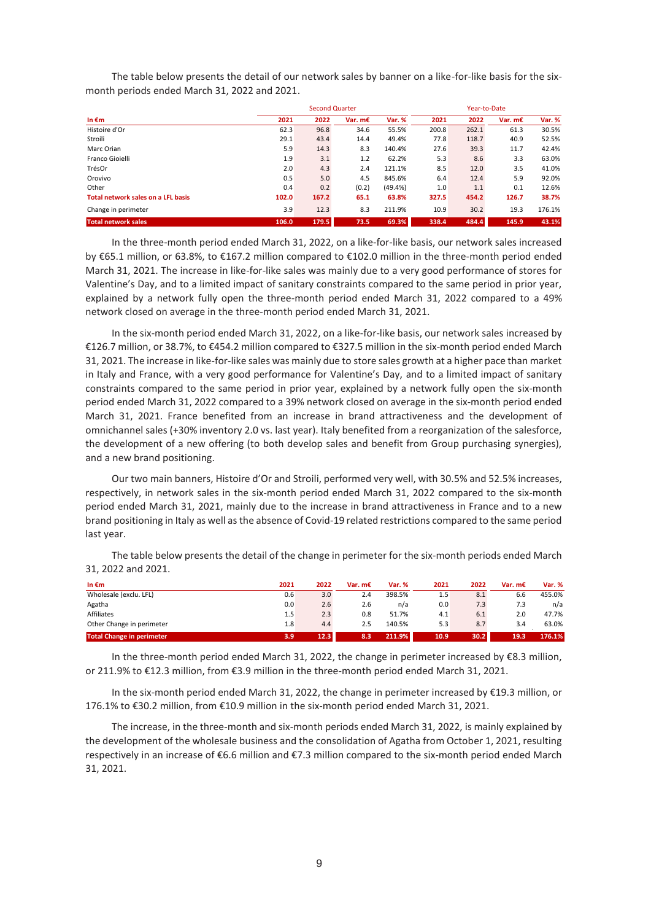The table below presents the detail of our network sales by banner on a like-for-like basis for the sixmonth periods ended March 31, 2022 and 2021.

|                                    |       | <b>Second Quarter</b> |           |         |       | Year-to-Date |           |        |  |
|------------------------------------|-------|-----------------------|-----------|---------|-------|--------------|-----------|--------|--|
| In $\epsilon$ m                    | 2021  | 2022                  | Var. $mE$ | Var. %  | 2021  | 2022         | Var. $mE$ | Var. % |  |
| Histoire d'Or                      | 62.3  | 96.8                  | 34.6      | 55.5%   | 200.8 | 262.1        | 61.3      | 30.5%  |  |
| Stroili                            | 29.1  | 43.4                  | 14.4      | 49.4%   | 77.8  | 118.7        | 40.9      | 52.5%  |  |
| Marc Orian                         | 5.9   | 14.3                  | 8.3       | 140.4%  | 27.6  | 39.3         | 11.7      | 42.4%  |  |
| Franco Gioielli                    | 1.9   | 3.1                   | 1.2       | 62.2%   | 5.3   | 8.6          | 3.3       | 63.0%  |  |
| TrésOr                             | 2.0   | 4.3                   | 2.4       | 121.1%  | 8.5   | 12.0         | 3.5       | 41.0%  |  |
| Orovivo                            | 0.5   | 5.0                   | 4.5       | 845.6%  | 6.4   | 12.4         | 5.9       | 92.0%  |  |
| Other                              | 0.4   | 0.2                   | (0.2)     | (49.4%) | 1.0   | 1.1          | 0.1       | 12.6%  |  |
| Total network sales on a LFL basis | 102.0 | 167.2                 | 65.1      | 63.8%   | 327.5 | 454.2        | 126.7     | 38.7%  |  |
| Change in perimeter                | 3.9   | 12.3                  | 8.3       | 211.9%  | 10.9  | 30.2         | 19.3      | 176.1% |  |
| <b>Total network sales</b>         | 106.0 | 179.5                 | 73.5      | 69.3%   | 338.4 | 484.4        | 145.9     | 43.1%  |  |

In the three-month period ended March 31, 2022, on a like-for-like basis, our network sales increased by €65.1 million, or 63.8%, to €167.2 million compared to €102.0 million in the three-month period ended March 31, 2021. The increase in like-for-like sales was mainly due to a very good performance of stores for Valentine's Day, and to a limited impact of sanitary constraints compared to the same period in prior year, explained by a network fully open the three-month period ended March 31, 2022 compared to a 49% network closed on average in the three-month period ended March 31, 2021.

In the six-month period ended March 31, 2022, on a like-for-like basis, our network sales increased by €126.7 million, or 38.7%, to €454.2 million compared to €327.5 million in the six-month period ended March 31, 2021. The increase in like-for-like sales was mainly due to store sales growth at a higher pace than market in Italy and France, with a very good performance for Valentine's Day, and to a limited impact of sanitary constraints compared to the same period in prior year, explained by a network fully open the six-month period ended March 31, 2022 compared to a 39% network closed on average in the six-month period ended March 31, 2021. France benefited from an increase in brand attractiveness and the development of omnichannel sales (+30% inventory 2.0 vs. last year). Italy benefited from a reorganization of the salesforce, the development of a new offering (to both develop sales and benefit from Group purchasing synergies), and a new brand positioning.

Our two main banners, Histoire d'Or and Stroili, performed very well, with 30.5% and 52.5% increases, respectively, in network sales in the six-month period ended March 31, 2022 compared to the six-month period ended March 31, 2021, mainly due to the increase in brand attractiveness in France and to a new brand positioning in Italy as well as the absence of Covid-19 related restrictions compared to the same period last year.

| In $\epsilon$ m                  | 2021 | 2022 | Var. $mE$ | Var. % | 2021 | 2022              | Var. m€ | Var. % |
|----------------------------------|------|------|-----------|--------|------|-------------------|---------|--------|
| Wholesale (exclu. LFL)           | 0.6  | 3.0  | 2.4       | 398.5% | 1.5  | 8.1               | 6.6     | 455.0% |
| Agatha                           | 0.0  | 2.6  | 2.6       | n/a    | 0.0  | 7.3               | 7.3     | n/a    |
| Affiliates                       | 1.5  | 2.3  | 0.8       | 51.7%  | 4.1  | 6.1               | 2.0     | 47.7%  |
| Other Change in perimeter        | 1.8  | 4.4  | 2.5       | 140.5% | 5.3  | 8.7               | 3.4     | 63.0%  |
| <b>Total Change in perimeter</b> | 3.9  | 12.3 | 8.3       | 211.9% | 10.9 | 30.2 <sub>1</sub> | 19.3    | 176.1% |

The table below presents the detail of the change in perimeter for the six-month periods ended March 31, 2022 and 2021.

In the three-month period ended March 31, 2022, the change in perimeter increased by €8.3 million, or 211.9% to €12.3 million, from €3.9 million in the three-month period ended March 31, 2021.

In the six-month period ended March 31, 2022, the change in perimeter increased by €19.3 million, or 176.1% to €30.2 million, from €10.9 million in the six-month period ended March 31, 2021.

The increase, in the three-month and six-month periods ended March 31, 2022, is mainly explained by the development of the wholesale business and the consolidation of Agatha from October 1, 2021, resulting respectively in an increase of €6.6 million and €7.3 million compared to the six-month period ended March 31, 2021.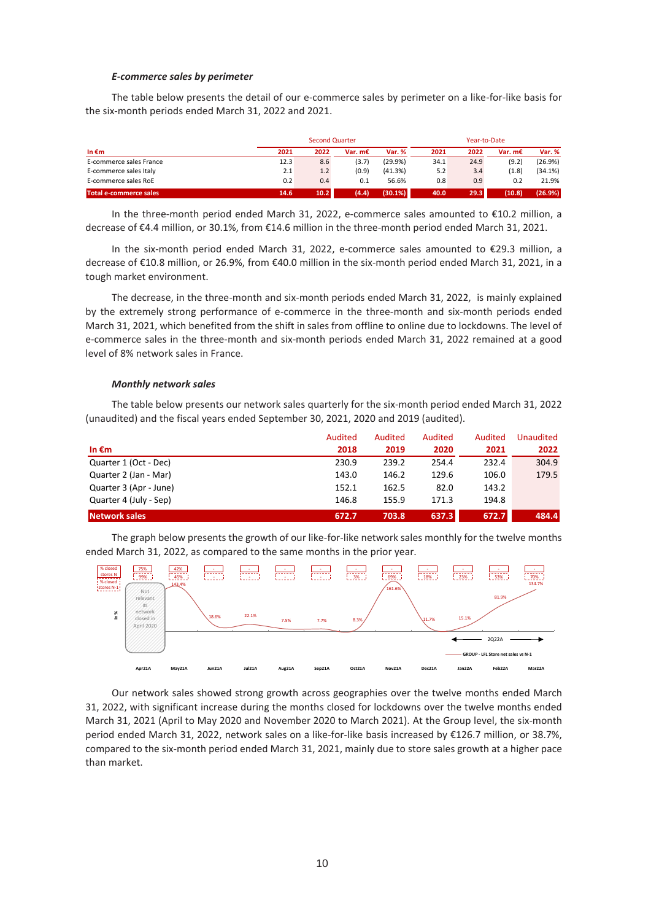#### *E-commerce sales by perimeter*

The table below presents the detail of our e-commerce sales by perimeter on a like-for-like basis for the six-month periods ended March 31, 2022 and 2021.

|                         |      |      | <b>Second Quarter</b> |         |      | Year-to-Date |           |         |  |
|-------------------------|------|------|-----------------------|---------|------|--------------|-----------|---------|--|
| In $\epsilon$ m         | 2021 | 2022 | Var. m€               | Var. %  | 2021 | 2022         | Var. $mE$ | Var. %  |  |
| E-commerce sales France | 12.3 | 8.6  | (3.7)                 | (29.9%) | 34.1 | 24.9         | (9.2)     | (26.9%) |  |
| E-commerce sales Italy  | 2.1  | 1.2  | (0.9)                 | (41.3%) | 5.2  | 3.4          | (1.8)     | (34.1%) |  |
| E-commerce sales RoE    | 0.2  | 0.4  | 0.1                   | 56.6%   | 0.8  | 0.9          | 0.2       | 21.9%   |  |
| Total e-commerce sales  | 14.6 | 10.2 | (4.4)                 | (30.1%) | 40.0 | 29.3         | (10.8)    | (26.9%) |  |

In the three-month period ended March 31, 2022, e-commerce sales amounted to €10.2 million, a decrease of €4.4 million, or 30.1%, from €14.6 million in the three-month period ended March 31, 2021.

In the six-month period ended March 31, 2022, e-commerce sales amounted to €29.3 million, a decrease of €10.8 million, or 26.9%, from €40.0 million in the six-month period ended March 31, 2021, in a tough market environment.

The decrease, in the three-month and six-month periods ended March 31, 2022, is mainly explained by the extremely strong performance of e-commerce in the three-month and six-month periods ended March 31, 2021, which benefited from the shift in sales from offline to online due to lockdowns. The level of e-commerce sales in the three-month and six-month periods ended March 31, 2022 remained at a good level of 8% network sales in France.

#### *Monthly network sales*

The table below presents our network sales quarterly for the six-month period ended March 31, 2022 (unaudited) and the fiscal years ended September 30, 2021, 2020 and 2019 (audited).

|                        | Audited | Audited | Audited | Audited | Unaudited |
|------------------------|---------|---------|---------|---------|-----------|
| In $\epsilon$ m        | 2018    | 2019    | 2020    | 2021    | 2022      |
| Quarter 1 (Oct - Dec)  | 230.9   | 239.2   | 254.4   | 232.4   | 304.9     |
| Quarter 2 (Jan - Mar)  | 143.0   | 146.2   | 129.6   | 106.0   | 179.5     |
| Quarter 3 (Apr - June) | 152.1   | 162.5   | 82.0    | 143.2   |           |
| Quarter 4 (July - Sep) | 146.8   | 155.9   | 171.3   | 194.8   |           |
| Network sales          | 672.7   | 703.8   | 637.3   | 672.7   | 484.4     |

The graph below presents the growth of our like-for-like network sales monthly for the twelve months ended March 31, 2022, as compared to the same months in the prior year.



Our network sales showed strong growth across geographies over the twelve months ended March 31, 2022, with significant increase during the months closed for lockdowns over the twelve months ended March 31, 2021 (April to May 2020 and November 2020 to March 2021). At the Group level, the six-month period ended March 31, 2022, network sales on a like-for-like basis increased by €126.7 million, or 38.7%, compared to the six-month period ended March 31, 2021, mainly due to store sales growth at a higher pace than market.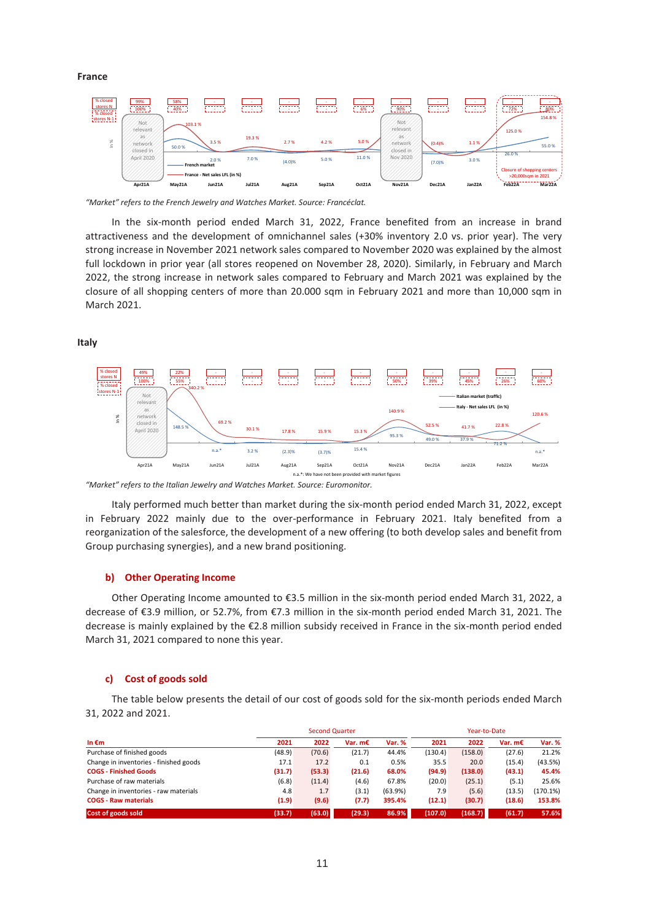## **France**



*"Market" refers to the French Jewelry and Watches Market. Source: Francéclat.* 

In the six-month period ended March 31, 2022, France benefited from an increase in brand attractiveness and the development of omnichannel sales (+30% inventory 2.0 vs. prior year). The very strong increase in November 2021 network sales compared to November 2020 was explained by the almost full lockdown in prior year (all stores reopened on November 28, 2020). Similarly, in February and March 2022, the strong increase in network sales compared to February and March 2021 was explained by the closure of all shopping centers of more than 20.000 sqm in February 2021 and more than 10,000 sqm in March 2021.

**Italy**



*"Market" refers to the Italian Jewelry and Watches Market. Source: Euromonitor.* 

Italy performed much better than market during the six-month period ended March 31, 2022, except in February 2022 mainly due to the over-performance in February 2021. Italy benefited from a reorganization of the salesforce, the development of a new offering (to both develop sales and benefit from Group purchasing synergies), and a new brand positioning.

## **b) Other Operating Income**

Other Operating Income amounted to €3.5 million in the six-month period ended March 31, 2022, a decrease of €3.9 million, or 52.7%, from €7.3 million in the six-month period ended March 31, 2021. The decrease is mainly explained by the €2.8 million subsidy received in France in the six-month period ended March 31, 2021 compared to none this year.

### **c) Cost of goods sold**

The table below presents the detail of our cost of goods sold for the six-month periods ended March 31, 2022 and 2021.

|                                        |        | <b>Second Quarter</b> |         |         |         | Year-to-Date |           |          |  |
|----------------------------------------|--------|-----------------------|---------|---------|---------|--------------|-----------|----------|--|
| In $\epsilon$ m                        | 2021   | 2022                  | Var. m€ | Var. %  | 2021    | 2022         | Var. $mE$ | Var. %   |  |
| Purchase of finished goods             | (48.9) | (70.6)                | (21.7)  | 44.4%   | (130.4) | (158.0)      | (27.6)    | 21.2%    |  |
| Change in inventories - finished goods | 17.1   | 17.2                  | 0.1     | 0.5%    | 35.5    | 20.0         | (15.4)    | (43.5%)  |  |
| <b>COGS - Finished Goods</b>           | (31.7) | (53.3)                | (21.6)  | 68.0%   | (94.9)  | (138.0)      | (43.1)    | 45.4%    |  |
| Purchase of raw materials              | (6.8)  | (11.4)                | (4.6)   | 67.8%   | (20.0)  | (25.1)       | (5.1)     | 25.6%    |  |
| Change in inventories - raw materials  | 4.8    | 1.7                   | (3.1)   | (63.9%) | 7.9     | (5.6)        | (13.5)    | (170.1%) |  |
| <b>COGS - Raw materials</b>            | (1.9)  | (9.6)                 | (7.7)   | 395.4%  | (12.1)  | (30.7)       | (18.6)    | 153.8%   |  |
| Cost of goods sold                     | (33.7) | (63.0)                | (29.3)  | 86.9%   | (107.0) | (168.7)      | (61.7)    | 57.6%    |  |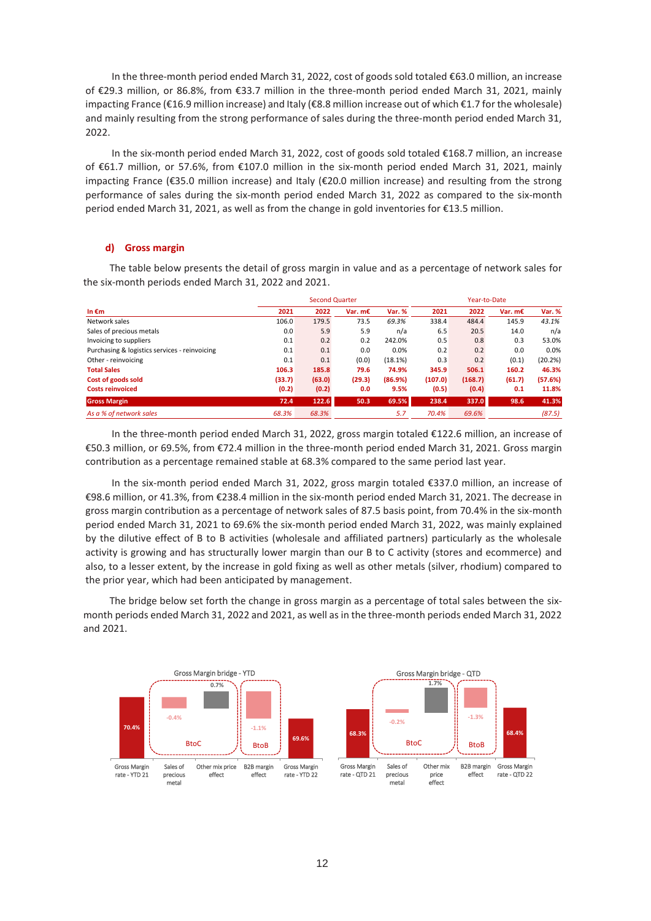In the three-month period ended March 31, 2022, cost of goods sold totaled €63.0 million, an increase of €29.3 million, or 86.8%, from €33.7 million in the three-month period ended March 31, 2021, mainly impacting France (€16.9 million increase) and Italy (€8.8 million increase out of which €1.7 for the wholesale) and mainly resulting from the strong performance of sales during the three-month period ended March 31, 2022.

In the six-month period ended March 31, 2022, cost of goods sold totaled €168.7 million, an increase of €61.7 million, or 57.6%, from €107.0 million in the six-month period ended March 31, 2021, mainly impacting France (€35.0 million increase) and Italy (€20.0 million increase) and resulting from the strong performance of sales during the six-month period ended March 31, 2022 as compared to the six-month period ended March 31, 2021, as well as from the change in gold inventories for €13.5 million.

#### **d) Gross margin**

The table below presents the detail of gross margin in value and as a percentage of network sales for the six-month periods ended March 31, 2022 and 2021.

|                                               |        | <b>Second Quarter</b> |           |         |         | Year-to-Date |           |         |  |
|-----------------------------------------------|--------|-----------------------|-----------|---------|---------|--------------|-----------|---------|--|
| In $\epsilon$ m                               | 2021   | 2022                  | Var. $mE$ | Var. %  | 2021    | 2022         | Var. $mE$ | Var. %  |  |
| Network sales                                 | 106.0  | 179.5                 | 73.5      | 69.3%   | 338.4   | 484.4        | 145.9     | 43.1%   |  |
| Sales of precious metals                      | 0.0    | 5.9                   | 5.9       | n/a     | 6.5     | 20.5         | 14.0      | n/a     |  |
| Invoicing to suppliers                        | 0.1    | 0.2                   | 0.2       | 242.0%  | 0.5     | 0.8          | 0.3       | 53.0%   |  |
| Purchasing & logistics services - reinvoicing | 0.1    | 0.1                   | 0.0       | 0.0%    | 0.2     | 0.2          | 0.0       | 0.0%    |  |
| Other - reinvoicing                           | 0.1    | 0.1                   | (0.0)     | (18.1%) | 0.3     | 0.2          | (0.1)     | (20.2%) |  |
| <b>Total Sales</b>                            | 106.3  | 185.8                 | 79.6      | 74.9%   | 345.9   | 506.1        | 160.2     | 46.3%   |  |
| Cost of goods sold                            | (33.7) | (63.0)                | (29.3)    | (86.9%) | (107.0) | (168.7)      | (61.7)    | (57.6%) |  |
| <b>Costs reinvoiced</b>                       | (0.2)  | (0.2)                 | 0.0       | 9.5%    | (0.5)   | (0.4)        | 0.1       | 11.8%   |  |
| <b>Gross Margin</b>                           | 72.4   | 122.6                 | 50.3      | 69.5%   | 238.4   | 337.0        | 98.6      | 41.3%   |  |
| As a % of network sales                       | 68.3%  | 68.3%                 |           | 5.7     | 70.4%   | 69.6%        |           | (87.5)  |  |

In the three-month period ended March 31, 2022, gross margin totaled €122.6 million, an increase of €50.3 million, or 69.5%, from €72.4 million in the three-month period ended March 31, 2021. Gross margin contribution as a percentage remained stable at 68.3% compared to the same period last year.

In the six-month period ended March 31, 2022, gross margin totaled €337.0 million, an increase of €98.6 million, or 41.3%, from €238.4 million in the six-month period ended March 31, 2021. The decrease in gross margin contribution as a percentage of network sales of 87.5 basis point, from 70.4% in the six-month period ended March 31, 2021 to 69.6% the six-month period ended March 31, 2022, was mainly explained by the dilutive effect of B to B activities (wholesale and affiliated partners) particularly as the wholesale activity is growing and has structurally lower margin than our B to C activity (stores and ecommerce) and also, to a lesser extent, by the increase in gold fixing as well as other metals (silver, rhodium) compared to the prior year, which had been anticipated by management.

The bridge below set forth the change in gross margin as a percentage of total sales between the sixmonth periods ended March 31, 2022 and 2021, as well as in the three-month periods ended March 31, 2022 and 2021.

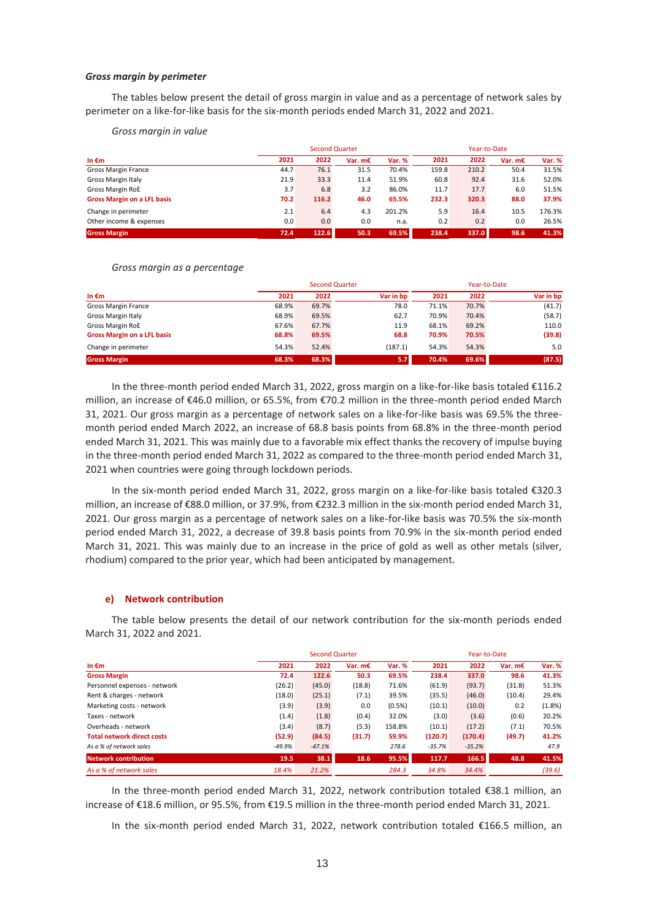#### *Gross margin by perimeter*

The tables below present the detail of gross margin in value and as a percentage of network sales by perimeter on a like-for-like basis for the six-month periods ended March 31, 2022 and 2021.

*Gross margin in value*

|                                    |      | <b>Second Quarter</b> |           |        |       | Year-to-Date |           |        |  |
|------------------------------------|------|-----------------------|-----------|--------|-------|--------------|-----------|--------|--|
| In $\epsilon$ m                    | 2021 | 2022                  | Var. $mE$ | Var. % | 2021  | 2022         | Var. $mE$ | Var. % |  |
| <b>Gross Margin France</b>         | 44.7 | 76.1                  | 31.5      | 70.4%  | 159.8 | 210.2        | 50.4      | 31.5%  |  |
| <b>Gross Margin Italy</b>          | 21.9 | 33.3                  | 11.4      | 51.9%  | 60.8  | 92.4         | 31.6      | 52.0%  |  |
| <b>Gross Margin RoE</b>            | 3.7  | 6.8                   | 3.2       | 86.0%  | 11.7  | 17.7         | 6.0       | 51.5%  |  |
| <b>Gross Margin on a LFL basis</b> | 70.2 | 116.2                 | 46.0      | 65.5%  | 232.3 | 320.3        | 88.0      | 37.9%  |  |
| Change in perimeter                | 2.1  | 6.4                   | 4.3       | 201.2% | 5.9   | 16.4         | 10.5      | 176.3% |  |
| Other income & expenses            | 0.0  | 0.0                   | 0.0       | n.a.   | 0.2   | 0.2          | 0.0       | 26.5%  |  |
| <b>Gross Margin</b>                | 72.4 | 122.6                 | 50.3      | 69.5%  | 238.4 | 337.0        | 98.6      | 41.3%  |  |

### *Gross margin as a percentage*

|                                    |       |       | <b>Second Quarter</b> |       | Year-to-Date |           |  |  |
|------------------------------------|-------|-------|-----------------------|-------|--------------|-----------|--|--|
| In $\epsilon$ m                    | 2021  | 2022  | Var in bp             | 2021  | 2022         | Var in bp |  |  |
| <b>Gross Margin France</b>         | 68.9% | 69.7% | 78.0                  | 71.1% | 70.7%        | (41.7)    |  |  |
| Gross Margin Italy                 | 68.9% | 69.5% | 62.7                  | 70.9% | 70.4%        | (58.7)    |  |  |
| <b>Gross Margin RoE</b>            | 67.6% | 67.7% | 11.9                  | 68.1% | 69.2%        | 110.0     |  |  |
| <b>Gross Margin on a LFL basis</b> | 68.8% | 69.5% | 68.8                  | 70.9% | 70.5%        | (39.8)    |  |  |
| Change in perimeter                | 54.3% | 52.4% | (187.1)               | 54.3% | 54.3%        | 5.0       |  |  |
| <b>Gross Margin</b>                | 68.3% | 68.3% | 5.7                   | 70.4% | 69.6%        | (87.5)    |  |  |

In the three-month period ended March 31, 2022, gross margin on a like-for-like basis totaled €116.2 million, an increase of €46.0 million, or 65.5%, from €70.2 million in the three-month period ended March 31, 2021. Our gross margin as a percentage of network sales on a like-for-like basis was 69.5% the threemonth period ended March 2022, an increase of 68.8 basis points from 68.8% in the three-month period ended March 31, 2021. This was mainly due to a favorable mix effect thanks the recovery of impulse buying in the three-month period ended March 31, 2022 as compared to the three-month period ended March 31, 2021 when countries were going through lockdown periods.

In the six-month period ended March 31, 2022, gross margin on a like-for-like basis totaled €320.3 million, an increase of €88.0 million, or 37.9%, from €232.3 million in the six-month period ended March 31, 2021. Our gross margin as a percentage of network sales on a like-for-like basis was 70.5% the six-month period ended March 31, 2022, a decrease of 39.8 basis points from 70.9% in the six-month period ended March 31, 2021. This was mainly due to an increase in the price of gold as well as other metals (silver, rhodium) compared to the prior year, which had been anticipated by management.

## **e) Network contribution**

The table below presents the detail of our network contribution for the six-month periods ended March 31, 2022 and 2021.

|                                   |          |          | <b>Second Quarter</b> |        |          |          | Year-to-Date |        |
|-----------------------------------|----------|----------|-----------------------|--------|----------|----------|--------------|--------|
| In $\epsilon$ m                   | 2021     | 2022     | Var. $mE$             | Var. % | 2021     | 2022     | Var. $mE$    | Var. % |
| <b>Gross Margin</b>               | 72.4     | 122.6    | 50.3                  | 69.5%  | 238.4    | 337.0    | 98.6         | 41.3%  |
| Personnel expenses - network      | (26.2)   | (45.0)   | (18.8)                | 71.6%  | (61.9)   | (93.7)   | (31.8)       | 51.3%  |
| Rent & charges - network          | (18.0)   | (25.1)   | (7.1)                 | 39.5%  | (35.5)   | (46.0)   | (10.4)       | 29.4%  |
| Marketing costs - network         | (3.9)    | (3.9)    | 0.0                   | (0.5%) | (10.1)   | (10.0)   | 0.2          | (1.8%) |
| Taxes - network                   | (1.4)    | (1.8)    | (0.4)                 | 32.0%  | (3.0)    | (3.6)    | (0.6)        | 20.2%  |
| Overheads - network               | (3.4)    | (8.7)    | (5.3)                 | 158.8% | (10.1)   | (17.2)   | (7.1)        | 70.5%  |
| <b>Total network direct costs</b> | (52.9)   | (84.5)   | (31.7)                | 59.9%  | (120.7)  | (170.4)  | (49.7)       | 41.2%  |
| As a % of network sales           | $-49.9%$ | $-47.1%$ |                       | 278.6  | $-35.7%$ | $-35.2%$ |              | 47.9   |
| <b>Network contribution</b>       | 19.5     | 38.1     | 18.6                  | 95.5%  | 117.7    | 166.5    | 48.8         | 41.5%  |
| As a % of network sales           | 18.4%    | 21.2%    |                       | 284.3  | 34.8%    | 34.4%    |              | (39.6) |

In the three-month period ended March 31, 2022, network contribution totaled €38.1 million, an increase of €18.6 million, or 95.5%, from €19.5 million in the three-month period ended March 31, 2021.

In the six-month period ended March 31, 2022, network contribution totaled €166.5 million, an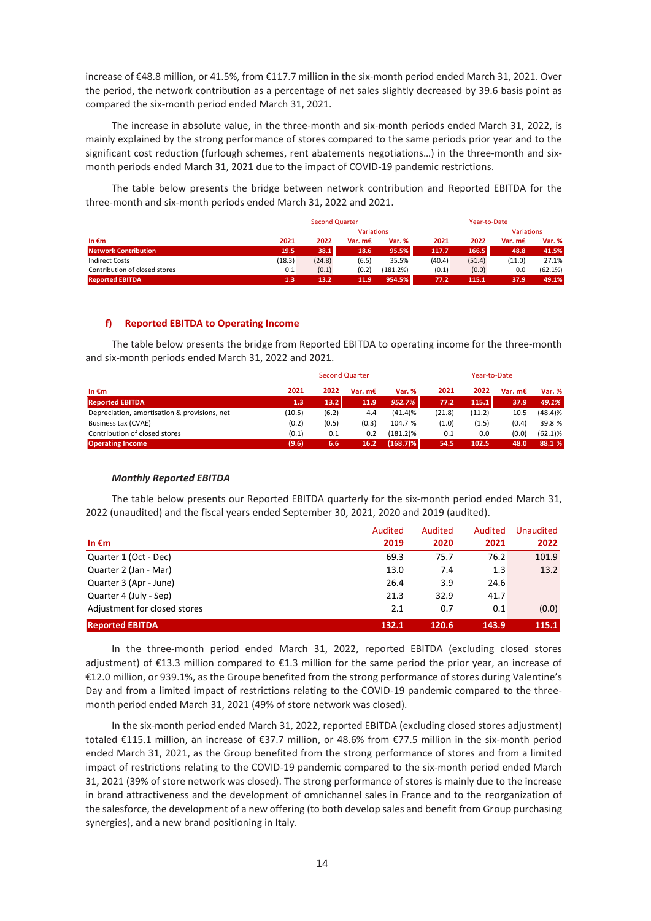increase of €48.8 million, or 41.5%, from €117.7 million in the six-month period ended March 31, 2021. Over the period, the network contribution as a percentage of net sales slightly decreased by 39.6 basis point as compared the six-month period ended March 31, 2021.

The increase in absolute value, in the three-month and six-month periods ended March 31, 2022, is mainly explained by the strong performance of stores compared to the same periods prior year and to the significant cost reduction (furlough schemes, rent abatements negotiations…) in the three-month and sixmonth periods ended March 31, 2021 due to the impact of COVID-19 pandemic restrictions.

The table below presents the bridge between network contribution and Reported EBITDA for the three-month and six-month periods ended March 31, 2022 and 2021.

|                               |        | <b>Second Quarter</b> |                   |               |        | Year-to-Date |                   |         |
|-------------------------------|--------|-----------------------|-------------------|---------------|--------|--------------|-------------------|---------|
|                               |        |                       | <b>Variations</b> |               |        |              | <b>Variations</b> |         |
| In $\epsilon$ m               | 2021   | 2022                  | Var. $mE$         | <b>Var. %</b> | 2021   | 2022         | Var. $mE$         | Var. %  |
| <b>Network Contribution</b>   | 19.5   | 38.1                  | 18.6              | 95.5%         | 117.7  | 166.5        | 48.8              | 41.5%   |
| <b>Indirect Costs</b>         | (18.3) | (24.8)                | (6.5)             | 35.5%         | (40.4) | (51.4)       | (11.0)            | 27.1%   |
| Contribution of closed stores | 0.1    | (0.1)                 | (0.2)             | (181.2%)      | (0.1)  | (0.0)        | 0.0               | (62.1%) |
| <b>Reported EBITDA</b>        | 1.3    | 13.2                  | 11.9              | 954.5%        | 77.2   | 115.1        | 37.9              | 49.1%   |

## **f) Reported EBITDA to Operating Income**

The table below presents the bridge from Reported EBITDA to operating income for the three-month and six-month periods ended March 31, 2022 and 2021.

|                                              |        | Year-to-Date |           |               |        |        |           |               |
|----------------------------------------------|--------|--------------|-----------|---------------|--------|--------|-----------|---------------|
| In $\epsilon$ m                              | 2021   | 2022         | Var. $mE$ | <b>Var. %</b> | 2021   | 2022   | Var. $mE$ | <b>Var. %</b> |
| <b>Reported EBITDA</b>                       | 1.3    | 13.2         | 11.9      | 952.7%        | 77.2   | 115.1  | 37.9      | 49.1%         |
| Depreciation, amortisation & provisions, net | (10.5) | (6.2)        | 4.4       | (41.4)%       | (21.8) | (11.2) | 10.5      | (48.4)%       |
| Business tax (CVAE)                          | (0.2)  | (0.5)        | (0.3)     | 104.7 %       | (1.0)  | (1.5)  | (0.4)     | 39.8 %        |
| Contribution of closed stores                | (0.1)  | 0.1          | 0.2       | $(181.2)\%$   | 0.1    | 0.0    | (0.0)     | $(62.1)\%$    |
| <b>Operating Income</b>                      | (9.6)  | 6.6          | 16.2      | $(168.7)\%$   | 54.5   | 102.5  | 48.0      | 88.1 %        |

## *Monthly Reported EBITDA*

The table below presents our Reported EBITDA quarterly for the six-month period ended March 31, 2022 (unaudited) and the fiscal years ended September 30, 2021, 2020 and 2019 (audited).

|                              | Audited | Audited | Audited | Unaudited |
|------------------------------|---------|---------|---------|-----------|
| In $\epsilon$ m              | 2019    | 2020    | 2021    | 2022      |
| Quarter 1 (Oct - Dec)        | 69.3    | 75.7    | 76.2    | 101.9     |
| Quarter 2 (Jan - Mar)        | 13.0    | 7.4     | 1.3     | 13.2      |
| Quarter 3 (Apr - June)       | 26.4    | 3.9     | 24.6    |           |
| Quarter 4 (July - Sep)       | 21.3    | 32.9    | 41.7    |           |
| Adjustment for closed stores | 2.1     | 0.7     | 0.1     | (0.0)     |
| <b>Reported EBITDA</b>       | 132.1   | 120.6   | 143.9   | 115.1     |

In the three-month period ended March 31, 2022, reported EBITDA (excluding closed stores adjustment) of €13.3 million compared to €1.3 million for the same period the prior year, an increase of €12.0 million, or 939.1%, as the Groupe benefited from the strong performance of stores during Valentine's Day and from a limited impact of restrictions relating to the COVID-19 pandemic compared to the threemonth period ended March 31, 2021 (49% of store network was closed).

In the six-month period ended March 31, 2022, reported EBITDA (excluding closed stores adjustment) totaled €115.1 million, an increase of €37.7 million, or 48.6% from €77.5 million in the six-month period ended March 31, 2021, as the Group benefited from the strong performance of stores and from a limited impact of restrictions relating to the COVID-19 pandemic compared to the six-month period ended March 31, 2021 (39% of store network was closed). The strong performance of stores is mainly due to the increase in brand attractiveness and the development of omnichannel sales in France and to the reorganization of the salesforce, the development of a new offering (to both develop sales and benefit from Group purchasing synergies), and a new brand positioning in Italy.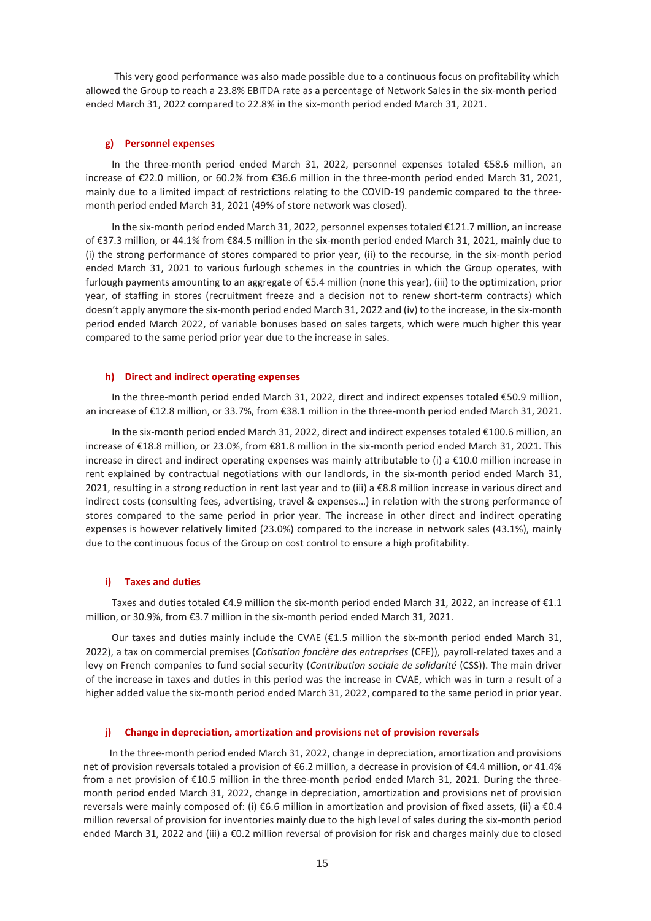This very good performance was also made possible due to a continuous focus on profitability which allowed the Group to reach a 23.8% EBITDA rate as a percentage of Network Sales in the six-month period ended March 31, 2022 compared to 22.8% in the six-month period ended March 31, 2021.

## **g) Personnel expenses**

In the three-month period ended March 31, 2022, personnel expenses totaled €58.6 million, an increase of €22.0 million, or 60.2% from €36.6 million in the three-month period ended March 31, 2021, mainly due to a limited impact of restrictions relating to the COVID-19 pandemic compared to the threemonth period ended March 31, 2021 (49% of store network was closed).

In the six-month period ended March 31, 2022, personnel expenses totaled €121.7 million, an increase of €37.3 million, or 44.1% from €84.5 million in the six-month period ended March 31, 2021, mainly due to (i) the strong performance of stores compared to prior year, (ii) to the recourse, in the six-month period ended March 31, 2021 to various furlough schemes in the countries in which the Group operates, with furlough payments amounting to an aggregate of €5.4 million (none this year), (iii) to the optimization, prior year, of staffing in stores (recruitment freeze and a decision not to renew short-term contracts) which doesn't apply anymore the six-month period ended March 31, 2022 and (iv) to the increase, in the six-month period ended March 2022, of variable bonuses based on sales targets, which were much higher this year compared to the same period prior year due to the increase in sales.

## **h) Direct and indirect operating expenses**

In the three-month period ended March 31, 2022, direct and indirect expenses totaled €50.9 million, an increase of €12.8 million, or 33.7%, from €38.1 million in the three-month period ended March 31, 2021.

In the six-month period ended March 31, 2022, direct and indirect expenses totaled €100.6 million, an increase of €18.8 million, or 23.0%, from €81.8 million in the six-month period ended March 31, 2021. This increase in direct and indirect operating expenses was mainly attributable to (i) a €10.0 million increase in rent explained by contractual negotiations with our landlords, in the six-month period ended March 31, 2021, resulting in a strong reduction in rent last year and to (iii) a €8.8 million increase in various direct and indirect costs (consulting fees, advertising, travel & expenses…) in relation with the strong performance of stores compared to the same period in prior year. The increase in other direct and indirect operating expenses is however relatively limited (23.0%) compared to the increase in network sales (43.1%), mainly due to the continuous focus of the Group on cost control to ensure a high profitability.

## **i) Taxes and duties**

Taxes and duties totaled €4.9 million the six-month period ended March 31, 2022, an increase of €1.1 million, or 30.9%, from €3.7 million in the six-month period ended March 31, 2021.

Our taxes and duties mainly include the CVAE (€1.5 million the six-month period ended March 31, 2022), a tax on commercial premises (*Cotisation foncière des entreprises* (CFE)), payroll-related taxes and a levy on French companies to fund social security (*Contribution sociale de solidarité* (CSS)). The main driver of the increase in taxes and duties in this period was the increase in CVAE, which was in turn a result of a higher added value the six-month period ended March 31, 2022, compared to the same period in prior year.

## **j) Change in depreciation, amortization and provisions net of provision reversals**

In the three-month period ended March 31, 2022, change in depreciation, amortization and provisions net of provision reversals totaled a provision of €6.2 million, a decrease in provision of €4.4 million, or 41.4% from a net provision of €10.5 million in the three-month period ended March 31, 2021. During the threemonth period ended March 31, 2022, change in depreciation, amortization and provisions net of provision reversals were mainly composed of: (i) €6.6 million in amortization and provision of fixed assets, (ii) a €0.4 million reversal of provision for inventories mainly due to the high level of sales during the six-month period ended March 31, 2022 and (iii) a €0.2 million reversal of provision for risk and charges mainly due to closed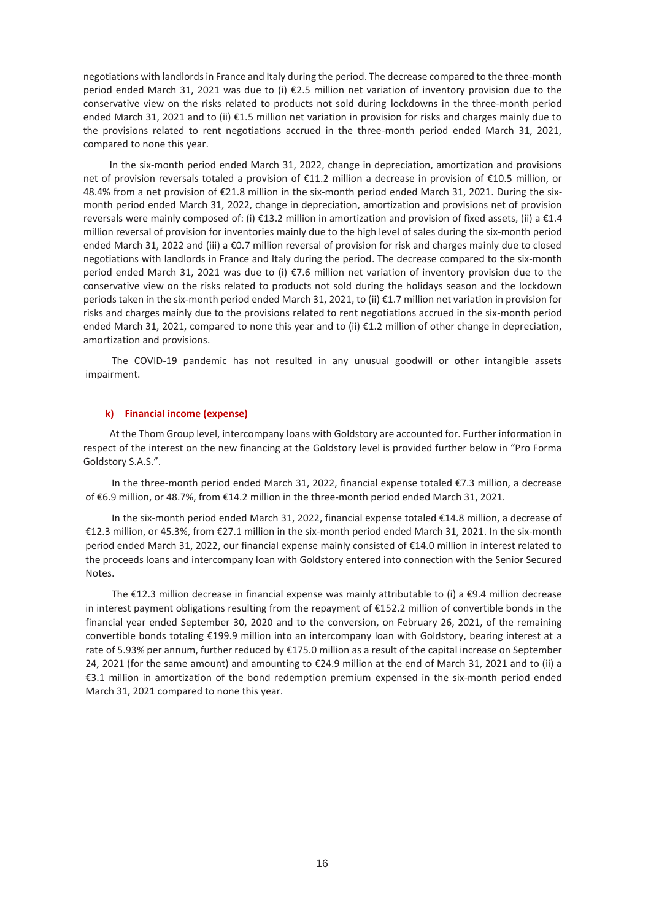negotiations with landlords in France and Italy during the period. The decrease compared to the three-month period ended March 31, 2021 was due to (i) €2.5 million net variation of inventory provision due to the conservative view on the risks related to products not sold during lockdowns in the three-month period ended March 31, 2021 and to (ii) €1.5 million net variation in provision for risks and charges mainly due to the provisions related to rent negotiations accrued in the three-month period ended March 31, 2021, compared to none this year.

In the six-month period ended March 31, 2022, change in depreciation, amortization and provisions net of provision reversals totaled a provision of €11.2 million a decrease in provision of €10.5 million, or 48.4% from a net provision of €21.8 million in the six-month period ended March 31, 2021. During the sixmonth period ended March 31, 2022, change in depreciation, amortization and provisions net of provision reversals were mainly composed of: (i) €13.2 million in amortization and provision of fixed assets, (ii) a €1.4 million reversal of provision for inventories mainly due to the high level of sales during the six-month period ended March 31, 2022 and (iii) a €0.7 million reversal of provision for risk and charges mainly due to closed negotiations with landlords in France and Italy during the period. The decrease compared to the six-month period ended March 31, 2021 was due to (i) €7.6 million net variation of inventory provision due to the conservative view on the risks related to products not sold during the holidays season and the lockdown periods taken in the six-month period ended March 31, 2021, to (ii) €1.7 million net variation in provision for risks and charges mainly due to the provisions related to rent negotiations accrued in the six-month period ended March 31, 2021, compared to none this year and to (ii) €1.2 million of other change in depreciation, amortization and provisions.

The COVID-19 pandemic has not resulted in any unusual goodwill or other intangible assets impairment.

#### **k) Financial income (expense)**

At the Thom Group level, intercompany loans with Goldstory are accounted for. Further information in respect of the interest on the new financing at the Goldstory level is provided further below in "Pro Forma Goldstory S.A.S.".

In the three-month period ended March 31, 2022, financial expense totaled €7.3 million, a decrease of €6.9 million, or 48.7%, from €14.2 million in the three-month period ended March 31, 2021.

In the six-month period ended March 31, 2022, financial expense totaled €14.8 million, a decrease of €12.3 million, or 45.3%, from €27.1 million in the six-month period ended March 31, 2021. In the six-month period ended March 31, 2022, our financial expense mainly consisted of €14.0 million in interest related to the proceeds loans and intercompany loan with Goldstory entered into connection with the Senior Secured Notes.

The €12.3 million decrease in financial expense was mainly attributable to (i) a €9.4 million decrease in interest payment obligations resulting from the repayment of €152.2 million of convertible bonds in the financial year ended September 30, 2020 and to the conversion, on February 26, 2021, of the remaining convertible bonds totaling €199.9 million into an intercompany loan with Goldstory, bearing interest at a rate of 5.93% per annum, further reduced by €175.0 million as a result of the capital increase on September 24, 2021 (for the same amount) and amounting to €24.9 million at the end of March 31, 2021 and to (ii) a €3.1 million in amortization of the bond redemption premium expensed in the six-month period ended March 31, 2021 compared to none this year.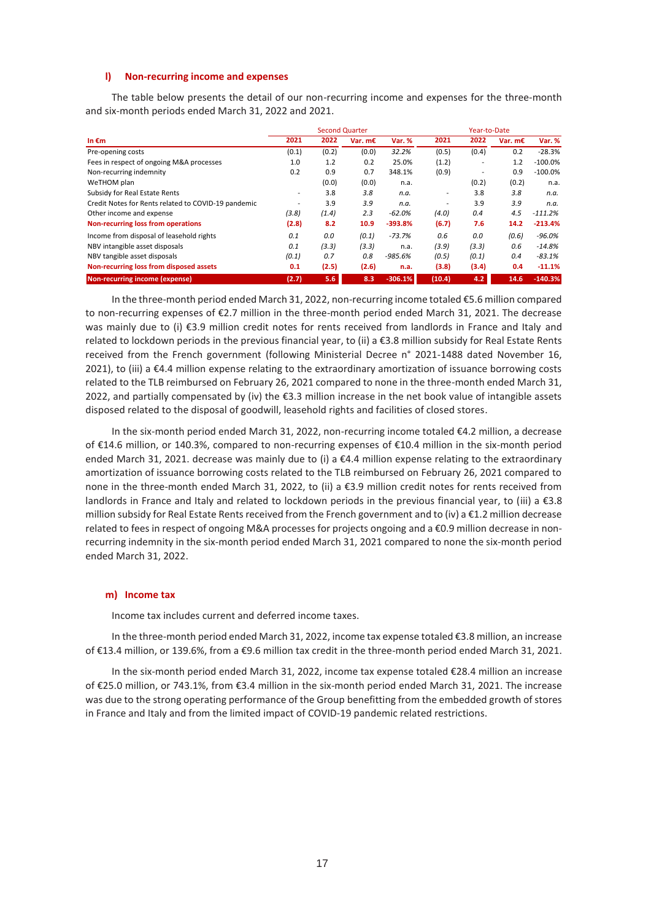## **l) Non-recurring income and expenses**

The table below presents the detail of our non-recurring income and expenses for the three-month and six-month periods ended March 31, 2022 and 2021.

|                                                     |                          | Year-to-Date |           |               |                          |        |           |               |
|-----------------------------------------------------|--------------------------|--------------|-----------|---------------|--------------------------|--------|-----------|---------------|
| In $\epsilon$ m                                     | 2021                     | 2022         | Var. $mE$ | <b>Var. %</b> | 2021                     | 2022   | Var. $mE$ | <b>Var. %</b> |
| Pre-opening costs                                   | (0.1)                    | (0.2)        | (0.0)     | 32.2%         | (0.5)                    | (0.4)  | 0.2       | $-28.3%$      |
| Fees in respect of ongoing M&A processes            | 1.0                      | 1.2          | 0.2       | 25.0%         | (1.2)                    | ٠      | 1.2       | $-100.0\%$    |
| Non-recurring indemnity                             | 0.2                      | 0.9          | 0.7       | 348.1%        | (0.9)                    | $\sim$ | 0.9       | $-100.0%$     |
| WeTHOM plan                                         |                          | (0.0)        | (0.0)     | n.a.          |                          | (0.2)  | (0.2)     | n.a.          |
| Subsidy for Real Estate Rents                       | $\overline{\phantom{a}}$ | 3.8          | 3.8       | n.a.          | $\overline{\phantom{a}}$ | 3.8    | 3.8       | n.a.          |
| Credit Notes for Rents related to COVID-19 pandemic | ٠                        | 3.9          | 3.9       | n.a.          | ٠                        | 3.9    | 3.9       | n.a.          |
| Other income and expense                            | (3.8)                    | (1.4)        | 2.3       | $-62.0%$      | (4.0)                    | 0.4    | 4.5       | $-111.2%$     |
| Non-recurring loss from operations                  | (2.8)                    | 8.2          | 10.9      | $-393.8%$     | (6.7)                    | 7.6    | 14.2      | $-213.4%$     |
| Income from disposal of leasehold rights            | 0.1                      | 0.0          | (0.1)     | $-73.7%$      | 0.6                      | 0.0    | (0.6)     | -96.0%        |
| NBV intangible asset disposals                      | 0.1                      | (3.3)        | (3.3)     | n.a.          | (3.9)                    | (3.3)  | 0.6       | $-14.8%$      |
| NBV tangible asset disposals                        | (0.1)                    | 0.7          | 0.8       | $-985.6%$     | (0.5)                    | (0.1)  | 0.4       | $-83.1%$      |
| Non-recurring loss from disposed assets             | 0.1                      | (2.5)        | (2.6)     | n.a.          | (3.8)                    | (3.4)  | 0.4       | $-11.1%$      |
| Non-recurring income (expense)                      | (2.7)                    | 5.6          | 8.3       | $-306.1%$     | (10.4)                   | 4.2    | 14.6      | $-140.3%$     |

In the three-month period ended March 31, 2022, non-recurring income totaled €5.6 million compared to non-recurring expenses of €2.7 million in the three-month period ended March 31, 2021. The decrease was mainly due to (i) €3.9 million credit notes for rents received from landlords in France and Italy and related to lockdown periods in the previous financial year, to (ii) a €3.8 million subsidy for Real Estate Rents received from the French government (following Ministerial Decree n° 2021-1488 dated November 16, 2021), to (iii) a €4.4 million expense relating to the extraordinary amortization of issuance borrowing costs related to the TLB reimbursed on February 26, 2021 compared to none in the three-month ended March 31, 2022, and partially compensated by (iv) the  $\epsilon$ 3.3 million increase in the net book value of intangible assets disposed related to the disposal of goodwill, leasehold rights and facilities of closed stores.

In the six-month period ended March 31, 2022, non-recurring income totaled €4.2 million, a decrease of €14.6 million, or 140.3%, compared to non-recurring expenses of €10.4 million in the six-month period ended March 31, 2021. decrease was mainly due to (i) a €4.4 million expense relating to the extraordinary amortization of issuance borrowing costs related to the TLB reimbursed on February 26, 2021 compared to none in the three-month ended March 31, 2022, to (ii) a €3.9 million credit notes for rents received from landlords in France and Italy and related to lockdown periods in the previous financial year, to (iii) a €3.8 million subsidy for Real Estate Rents received from the French government and to (iv) a €1.2 million decrease related to fees in respect of ongoing M&A processes for projects ongoing and a €0.9 million decrease in nonrecurring indemnity in the six-month period ended March 31, 2021 compared to none the six-month period ended March 31, 2022.

## **m) Income tax**

Income tax includes current and deferred income taxes.

In the three-month period ended March 31, 2022, income tax expense totaled €3.8 million, an increase of €13.4 million, or 139.6%, from a €9.6 million tax credit in the three-month period ended March 31, 2021.

In the six-month period ended March 31, 2022, income tax expense totaled €28.4 million an increase of €25.0 million, or 743.1%, from €3.4 million in the six-month period ended March 31, 2021. The increase was due to the strong operating performance of the Group benefitting from the embedded growth of stores in France and Italy and from the limited impact of COVID-19 pandemic related restrictions.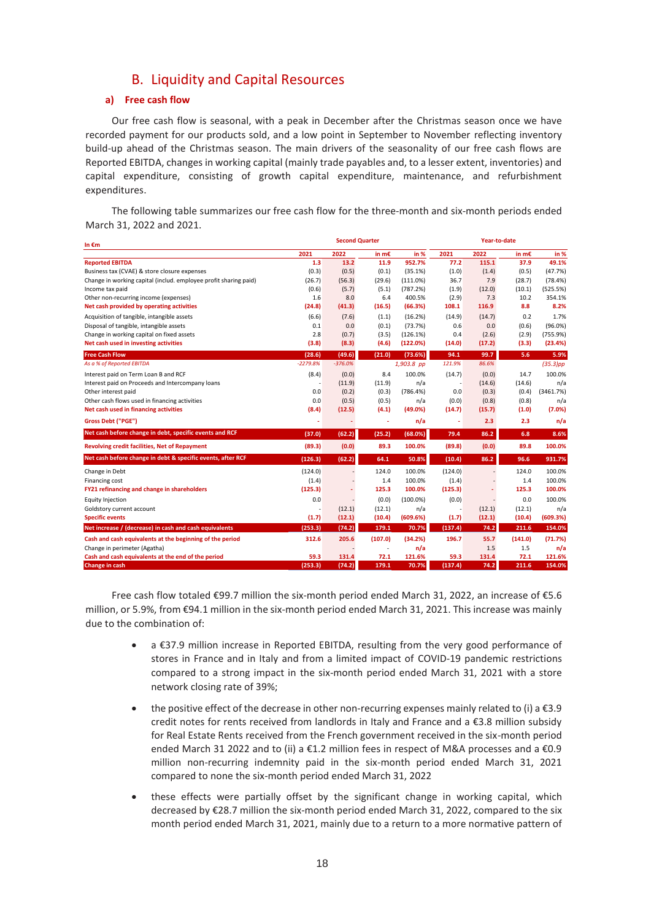## B. Liquidity and Capital Resources

## **a) Free cash flow**

Our free cash flow is seasonal, with a peak in December after the Christmas season once we have recorded payment for our products sold, and a low point in September to November reflecting inventory build-up ahead of the Christmas season. The main drivers of the seasonality of our free cash flows are Reported EBITDA, changes in working capital (mainly trade payables and, to a lesser extent, inventories) and capital expenditure, consisting of growth capital expenditure, maintenance, and refurbishment expenditures.

The following table summarizes our free cash flow for the three-month and six-month periods ended March 31, 2022 and 2021.

| In $\epsilon$ m                                                  |            | <b>Second Quarter</b> |         |             |         | Year-to-date |         |             |
|------------------------------------------------------------------|------------|-----------------------|---------|-------------|---------|--------------|---------|-------------|
|                                                                  | 2021       | 2022                  | in m€   | in %        | 2021    | 2022         | in m€   | in %        |
| <b>Reported EBITDA</b>                                           | 1.3        | 13.2                  | 11.9    | 952.7%      | 77.2    | 115.1        | 37.9    | 49.1%       |
| Business tax (CVAE) & store closure expenses                     | (0.3)      | (0.5)                 | (0.1)   | (35.1%)     | (1.0)   | (1.4)        | (0.5)   | (47.7%)     |
| Change in working capital (includ. employee profit sharing paid) | (26.7)     | (56.3)                | (29.6)  | (111.0%)    | 36.7    | 7.9          | (28.7)  | (78.4%)     |
| Income tax paid                                                  | (0.6)      | (5.7)                 | (5.1)   | (787.2%)    | (1.9)   | (12.0)       | (10.1)  | (525.5%)    |
| Other non-recurring income (expenses)                            | 1.6        | 8.0                   | 6.4     | 400.5%      | (2.9)   | 7.3          | 10.2    | 354.1%      |
| Net cash provided by operating activities                        | (24.8)     | (41.3)                | (16.5)  | (66.3%)     | 108.1   | 116.9        | 8.8     | 8.2%        |
| Acquisition of tangible, intangible assets                       | (6.6)      | (7.6)                 | (1.1)   | (16.2%)     | (14.9)  | (14.7)       | 0.2     | 1.7%        |
| Disposal of tangible, intangible assets                          | 0.1        | 0.0                   | (0.1)   | (73.7%)     | 0.6     | 0.0          | (0.6)   | $(96.0\%)$  |
| Change in working capital on fixed assets                        | 2.8        | (0.7)                 | (3.5)   | (126.1%)    | 0.4     | (2.6)        | (2.9)   | (755.9%)    |
| Net cash used in investing activities                            | (3.8)      | (8.3)                 | (4.6)   | (122.0%)    | (14.0)  | (17.2)       | (3.3)   | (23.4%)     |
| <b>Free Cash Flow</b>                                            | (28.6)     | (49.6)                | (21.0)  | (73.6%)     | 94.1    | 99.7         | 5.6     | 5.9%        |
| As a % of Reported EBITDA                                        | $-2279.8%$ | $-376.0%$             |         | 1,903.8 pp  | 121.9%  | 86.6%        |         | $(35.3)$ pp |
| Interest paid on Term Loan B and RCF                             | (8.4)      | (0.0)                 | 8.4     | 100.0%      | (14.7)  | (0.0)        | 14.7    | 100.0%      |
| Interest paid on Proceeds and Intercompany loans                 |            | (11.9)                | (11.9)  | n/a         |         | (14.6)       | (14.6)  | n/a         |
| Other interest paid                                              | 0.0        | (0.2)                 | (0.3)   | (786.4%)    | 0.0     | (0.3)        | (0.4)   | (3461.7%)   |
| Other cash flows used in financing activities                    | 0.0        | (0.5)                 | (0.5)   | n/a         | (0.0)   | (0.8)        | (0.8)   | n/a         |
| Net cash used in financing activities                            | (8.4)      | (12.5)                | (4.1)   | (49.0%)     | (14.7)  | (15.7)       | (1.0)   | (7.0%)      |
| <b>Gross Debt ("PGE")</b>                                        | ٠          |                       | ä,      | n/a         |         | 2.3          | 2.3     | n/a         |
| Net cash before change in debt, specific events and RCF          | (37.0)     | (62.2)                | (25.2)  | (68.0%)     | 79.4    | 86.2         | 6.8     | 8.6%        |
| Revolving credit facilities, Net of Repayment                    | (89.3)     | (0.0)                 | 89.3    | 100.0%      | (89.8)  | (0.0)        | 89.8    | 100.0%      |
| Net cash before change in debt & specific events, after RCF      | (126.3)    | (62.2)                | 64.1    | 50.8%       | (10.4)  | 86.2         | 96.6    | 931.7%      |
| Change in Debt                                                   | (124.0)    |                       | 124.0   | 100.0%      | (124.0) |              | 124.0   | 100.0%      |
| Financing cost                                                   | (1.4)      |                       | 1.4     | 100.0%      | (1.4)   |              | 1.4     | 100.0%      |
| FY21 refinancing and change in shareholders                      | (125.3)    |                       | 125.3   | 100.0%      | (125.3) | ÷            | 125.3   | 100.0%      |
| <b>Equity Injection</b>                                          | 0.0        |                       | (0.0)   | $(100.0\%)$ | (0.0)   |              | 0.0     | 100.0%      |
| Goldstory current account                                        |            | (12.1)                | (12.1)  | n/a         |         | (12.1)       | (12.1)  | n/a         |
| <b>Specific events</b>                                           | (1.7)      | (12.1)                | (10.4)  | (609.6%)    | (1.7)   | (12.1)       | (10.4)  | (609.3%)    |
| Net increase / (decrease) in cash and cash equivalents           | (253.3)    | (74.2)                | 179.1   | 70.7%       | (137.4) | 74.2         | 211.6   | 154.0%      |
| Cash and cash equivalents at the beginning of the period         | 312.6      | 205.6                 | (107.0) | (34.2%)     | 196.7   | 55.7         | (141.0) | (71.7%)     |
| Change in perimeter (Agatha)                                     |            |                       | ä,      | n/a         |         | 1.5          | 1.5     | n/a         |
| Cash and cash equivalents at the end of the period               | 59.3       | 131.4                 | 72.1    | 121.6%      | 59.3    | 131.4        | 72.1    | 121.6%      |
| <b>Change in cash</b>                                            | (253.3)    | (74.2)                | 179.1   | 70.7%       | (137.4) | 74.2         | 211.6   | 154.0%      |

Free cash flow totaled €99.7 million the six-month period ended March 31, 2022, an increase of €5.6 million, or 5.9%, from €94.1 million in the six-month period ended March 31, 2021. This increase was mainly due to the combination of:

- a €37.9 million increase in Reported EBITDA, resulting from the very good performance of stores in France and in Italy and from a limited impact of COVID-19 pandemic restrictions compared to a strong impact in the six-month period ended March 31, 2021 with a store network closing rate of 39%;
- the positive effect of the decrease in other non-recurring expenses mainly related to (i) a €3.9 credit notes for rents received from landlords in Italy and France and a €3.8 million subsidy for Real Estate Rents received from the French government received in the six-month period ended March 31 2022 and to (ii) a €1.2 million fees in respect of M&A processes and a €0.9 million non-recurring indemnity paid in the six-month period ended March 31, 2021 compared to none the six-month period ended March 31, 2022
- these effects were partially offset by the significant change in working capital, which decreased by €28.7 million the six-month period ended March 31, 2022, compared to the six month period ended March 31, 2021, mainly due to a return to a more normative pattern of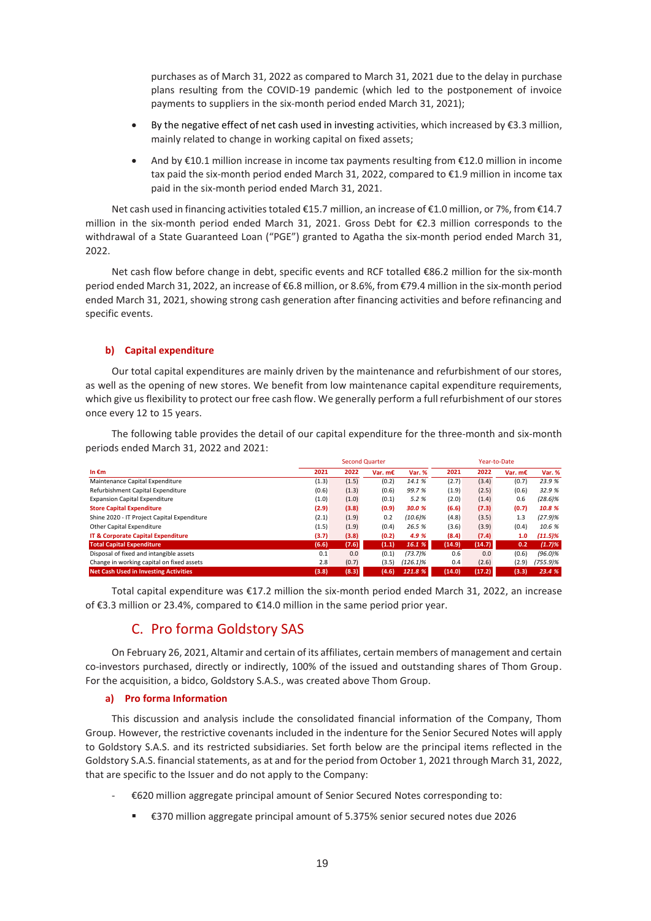purchases as of March 31, 2022 as compared to March 31, 2021 due to the delay in purchase plans resulting from the COVID-19 pandemic (which led to the postponement of invoice payments to suppliers in the six-month period ended March 31, 2021);

- By the negative effect of net cash used in investing activities, which increased by €3.3 million, mainly related to change in working capital on fixed assets;
- And by  $E10.1$  million increase in income tax payments resulting from  $E12.0$  million in income tax paid the six-month period ended March 31, 2022, compared to €1.9 million in income tax paid in the six-month period ended March 31, 2021.

Net cash used in financing activities totaled €15.7 million, an increase of €1.0 million, or 7%, from €14.7 million in the six-month period ended March 31, 2021. Gross Debt for €2.3 million corresponds to the withdrawal of a State Guaranteed Loan ("PGE") granted to Agatha the six-month period ended March 31, 2022.

Net cash flow before change in debt, specific events and RCF totalled €86.2 million for the six-month period ended March 31, 2022, an increase of €6.8 million, or 8.6%, from €79.4 million in the six-month period ended March 31, 2021, showing strong cash generation after financing activities and before refinancing and specific events.

## **b) Capital expenditure**

Our total capital expenditures are mainly driven by the maintenance and refurbishment of our stores, as well as the opening of new stores. We benefit from low maintenance capital expenditure requirements, which give us flexibility to protect our free cash flow. We generally perform a full refurbishment of our stores once every 12 to 15 years.

The following table provides the detail of our capital expenditure for the three-month and six-month periods ended March 31, 2022 and 2021:

|                                             |       |       | <b>Second Quarter</b> |               |        |        | Year-to-Date |            |
|---------------------------------------------|-------|-------|-----------------------|---------------|--------|--------|--------------|------------|
| In $\epsilon$ m                             | 2021  | 2022  | Var. $mE$             | <b>Var. %</b> | 2021   | 2022   | Var. m€      | Var. %     |
| Maintenance Capital Expenditure             | (1.3) | (1.5) | (0.2)                 | 14.1 %        | (2.7)  | (3.4)  | (0.7)        | 23.9 %     |
| Refurbishment Capital Expenditure           | (0.6) | (1.3) | (0.6)                 | 99.7%         | (1.9)  | (2.5)  | (0.6)        | 32.9 %     |
| <b>Expansion Capital Expenditure</b>        | (1.0) | (1.0) | (0.1)                 | 5.2%          | (2.0)  | (1.4)  | 0.6          | $(28.6)\%$ |
| <b>Store Capital Expenditure</b>            | (2.9) | (3.8) | (0.9)                 | 30.0 %        | (6.6)  | (7.3)  | (0.7)        | 10.8 %     |
| Shine 2020 - IT Project Capital Expenditure | (2.1) | (1.9) | 0.2                   | (10.6)%       | (4.8)  | (3.5)  | 1.3          | (27.9)%    |
| Other Capital Expenditure                   | (1.5) | (1.9) | (0.4)                 | 26.5 %        | (3.6)  | (3.9)  | (0.4)        | 10.6 %     |
| IT & Corporate Capital Expenditure          | (3.7) | (3.8) | (0.2)                 | 4.9%          | (8.4)  | (7.4)  | 1.0          | $(11.5)\%$ |
| <b>Total Capital Expenditure</b>            | (6.6) | (7.6) | (1.1)                 | 16.1%         | (14.9) | (14.7) | 0.2          | (1.7)%     |
| Disposal of fixed and intangible assets     | 0.1   | 0.0   | (0.1)                 | $(73.7)\%$    | 0.6    | 0.0    | (0.6)        | $(96.0)\%$ |
| Change in working capital on fixed assets   | 2.8   | (0.7) | (3.5)                 | $(126.1)\%$   | 0.4    | (2.6)  | (2.9)        | (755.9)%   |
| Net Cash Used in Investing Activities       | (3.8) | (8.3) | (4.6)                 | 121.8 %       | (14.0) | (17.2) | (3.3)        | 23.4 %     |

Total capital expenditure was €17.2 million the six-month period ended March 31, 2022, an increase of €3.3 million or 23.4%, compared to €14.0 million in the same period prior year.

## C. Pro forma Goldstory SAS

On February 26, 2021, Altamir and certain of its affiliates, certain members of management and certain co-investors purchased, directly or indirectly, 100% of the issued and outstanding shares of Thom Group. For the acquisition, a bidco, Goldstory S.A.S., was created above Thom Group.

## **a) Pro forma Information**

This discussion and analysis include the consolidated financial information of the Company, Thom Group. However, the restrictive covenants included in the indenture for the Senior Secured Notes will apply to Goldstory S.A.S. and its restricted subsidiaries. Set forth below are the principal items reflected in the Goldstory S.A.S. financial statements, as at and for the period from October 1, 2021 through March 31, 2022, that are specific to the Issuer and do not apply to the Company:

- €620 million aggregate principal amount of Senior Secured Notes corresponding to:
	- €370 million aggregate principal amount of 5.375% senior secured notes due 2026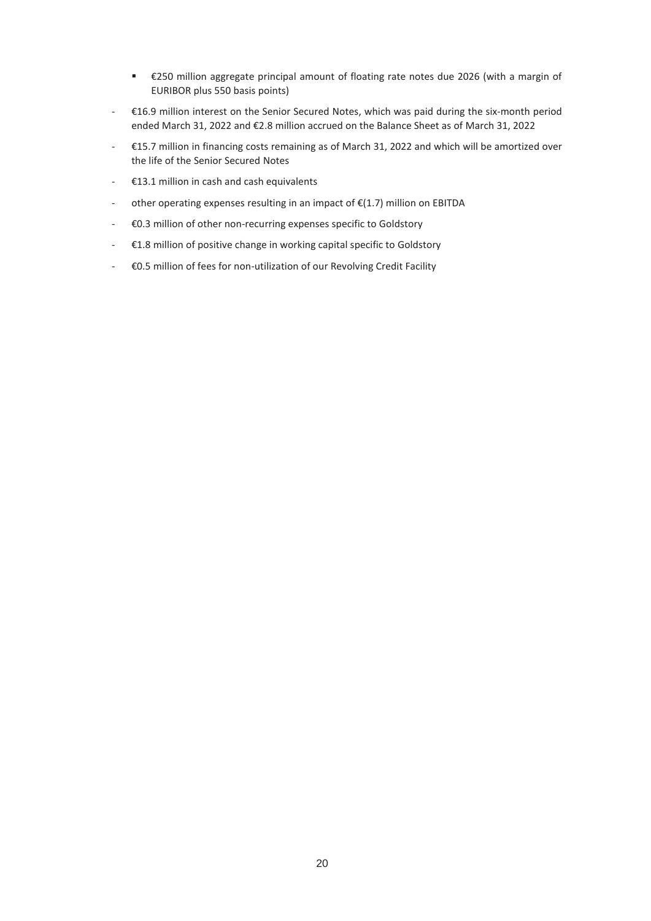- €250 million aggregate principal amount of floating rate notes due 2026 (with a margin of EURIBOR plus 550 basis points)
- €16.9 million interest on the Senior Secured Notes, which was paid during the six-month period ended March 31, 2022 and €2.8 million accrued on the Balance Sheet as of March 31, 2022
- €15.7 million in financing costs remaining as of March 31, 2022 and which will be amortized over the life of the Senior Secured Notes
- €13.1 million in cash and cash equivalents
- other operating expenses resulting in an impact of  $E(1.7)$  million on EBITDA
- €0.3 million of other non-recurring expenses specific to Goldstory
- €1.8 million of positive change in working capital specific to Goldstory
- €0.5 million of fees for non-utilization of our Revolving Credit Facility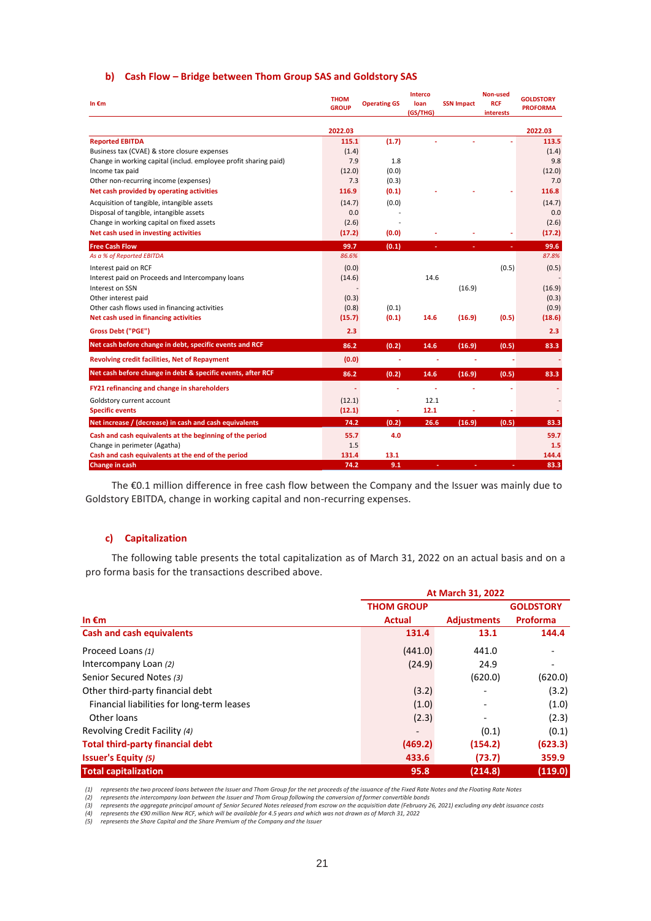|  | b) Cash Flow - Bridge between Thom Group SAS and Goldstory SAS |  |  |  |  |  |
|--|----------------------------------------------------------------|--|--|--|--|--|
|--|----------------------------------------------------------------|--|--|--|--|--|

| In $\epsilon$ m                                                      | <b>THOM</b><br><b>GROUP</b> | <b>Operating GS</b> | <b>Interco</b><br>loan<br>(GS/THG) | <b>SSN Impact</b> | Non-used<br><b>RCF</b><br>interests | <b>GOLDSTORY</b><br><b>PROFORMA</b> |
|----------------------------------------------------------------------|-----------------------------|---------------------|------------------------------------|-------------------|-------------------------------------|-------------------------------------|
|                                                                      | 2022.03                     |                     |                                    |                   |                                     | 2022.03                             |
| <b>Reported EBITDA</b>                                               | 115.1                       | (1.7)               |                                    |                   |                                     | 113.5                               |
| Business tax (CVAE) & store closure expenses                         | (1.4)                       |                     |                                    |                   |                                     | (1.4)                               |
| Change in working capital (includ. employee profit sharing paid)     | 7.9                         | 1.8                 |                                    |                   |                                     | 9.8                                 |
| Income tax paid                                                      | (12.0)                      | (0.0)               |                                    |                   |                                     | (12.0)                              |
| Other non-recurring income (expenses)                                | 7.3                         | (0.3)               |                                    |                   |                                     | 7.0                                 |
| Net cash provided by operating activities                            | 116.9                       | (0.1)               |                                    |                   |                                     | 116.8                               |
| Acquisition of tangible, intangible assets                           | (14.7)                      | (0.0)               |                                    |                   |                                     | (14.7)                              |
| Disposal of tangible, intangible assets                              | 0.0                         |                     |                                    |                   |                                     | 0.0                                 |
| Change in working capital on fixed assets                            | (2.6)                       |                     |                                    |                   |                                     | (2.6)                               |
| Net cash used in investing activities                                | (17.2)                      | (0.0)               |                                    |                   |                                     | (17.2)                              |
| <b>Free Cash Flow</b>                                                | 99.7                        | (0.1)               |                                    |                   |                                     | 99.6                                |
| As a % of Reported EBITDA                                            | 86.6%                       |                     |                                    |                   |                                     | 87.8%                               |
| Interest paid on RCF                                                 | (0.0)                       |                     |                                    |                   | (0.5)                               | (0.5)                               |
| Interest paid on Proceeds and Intercompany loans                     | (14.6)                      |                     | 14.6                               |                   |                                     |                                     |
| Interest on SSN                                                      |                             |                     |                                    | (16.9)            |                                     | (16.9)                              |
| Other interest paid<br>Other cash flows used in financing activities | (0.3)<br>(0.8)              | (0.1)               |                                    |                   |                                     | (0.3)<br>(0.9)                      |
| Net cash used in financing activities                                | (15.7)                      | (0.1)               | 14.6                               | (16.9)            | (0.5)                               | (18.6)                              |
|                                                                      |                             |                     |                                    |                   |                                     |                                     |
| <b>Gross Debt ("PGE")</b>                                            | 2.3                         |                     |                                    |                   |                                     | 2.3                                 |
| Net cash before change in debt, specific events and RCF              | 86.2                        | (0.2)               | 14.6                               | (16.9)            | (0.5)                               | 83.3                                |
| <b>Revolving credit facilities, Net of Repayment</b>                 | (0.0)                       | ÷                   | ٠                                  | ÷                 |                                     |                                     |
| Net cash before change in debt & specific events, after RCF          | 86.2                        | (0.2)               | 14.6                               | (16.9)            | (0.5)                               | 83.3                                |
| FY21 refinancing and change in shareholders                          |                             |                     |                                    |                   |                                     |                                     |
| Goldstory current account                                            | (12.1)                      |                     | 12.1                               |                   |                                     |                                     |
| <b>Specific events</b>                                               | (12.1)                      |                     | 12.1                               |                   |                                     |                                     |
| Net increase / (decrease) in cash and cash equivalents               | 74.2                        | (0.2)               | 26.6                               | (16.9)            | (0.5)                               | 83.3                                |
| Cash and cash equivalents at the beginning of the period             | 55.7                        | 4.0                 |                                    |                   |                                     | 59.7                                |
| Change in perimeter (Agatha)                                         | 1.5                         |                     |                                    |                   |                                     | 1.5                                 |
| Cash and cash equivalents at the end of the period                   | 131.4                       | 13.1                |                                    |                   |                                     | 144.4                               |
| Change in cash                                                       | 74.2                        | 9.1                 |                                    |                   |                                     | 83.3                                |

The €0.1 million difference in free cash flow between the Company and the Issuer was mainly due to Goldstory EBITDA, change in working capital and non-recurring expenses.

## **c) Capitalization**

The following table presents the total capitalization as of March 31, 2022 on an actual basis and on a pro forma basis for the transactions described above.

|                                            | At March 31, 2022 |                    |                  |
|--------------------------------------------|-------------------|--------------------|------------------|
|                                            | <b>THOM GROUP</b> |                    | <b>GOLDSTORY</b> |
| In $\epsilon$ m                            | <b>Actual</b>     | <b>Adjustments</b> | <b>Proforma</b>  |
| <b>Cash and cash equivalents</b>           | 131.4             | 13.1               | 144.4            |
| Proceed Loans (1)                          | (441.0)           | 441.0              |                  |
| Intercompany Loan (2)                      | (24.9)            | 24.9               |                  |
| Senior Secured Notes (3)                   |                   | (620.0)            | (620.0)          |
| Other third-party financial debt           | (3.2)             |                    | (3.2)            |
| Financial liabilities for long-term leases | (1.0)             |                    | (1.0)            |
| Other loans                                | (2.3)             |                    | (2.3)            |
| Revolving Credit Facility (4)              |                   | (0.1)              | (0.1)            |
| <b>Total third-party financial debt</b>    | (469.2)           | (154.2)            | (623.3)          |
| <b>Issuer's Equity (5)</b>                 | 433.6             | (73.7)             | 359.9            |
| <b>Total capitalization</b>                | 95.8              | (214.8)            | (119.0)          |

*(1) represents the two proceed loans between the Issuer and Thom Group for the net proceeds of the issuance of the Fixed Rate Notes and the Floating Rate Notes* 

*(2) represents the intercompany loan between the Issuer and Thom Group following the conversion of former convertible bonds*

(3) represents the aggregate principal amount of Senior Secured Notes released from escrow on the acquisition date (February 26, 2021) excluding any debt issuance costs<br>(4) represents the €90 million New RCF, which will be

*(5) represents the Share Capital and the Share Premium of the Company and the Issuer*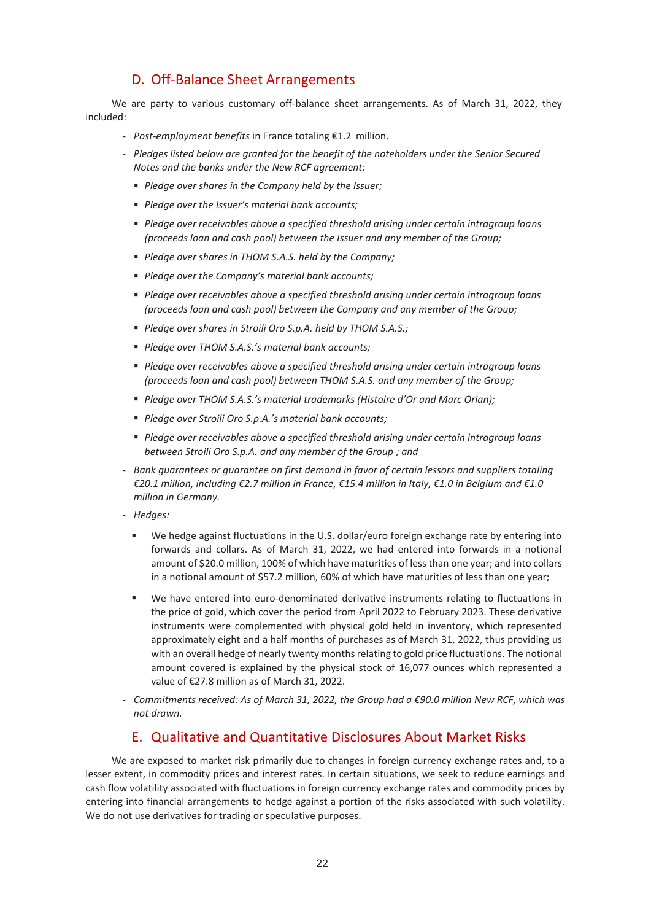# D. Off-Balance Sheet Arrangements

We are party to various customary off-balance sheet arrangements. As of March 31, 2022, they included:

- *Post-employment benefits* in France totaling €1.2 million.
- *Pledges listed below are granted for the benefit of the noteholders under the Senior Secured Notes and the banks under the New RCF agreement:*
	- *Pledge over shares in the Company held by the Issuer;*
	- *Pledge over the Issuer's material bank accounts;*
	- *Pledge over receivables above a specified threshold arising under certain intragroup loans (proceeds loan and cash pool) between the Issuer and any member of the Group;*
	- *Pledge over shares in THOM S.A.S. held by the Company;*
	- *Pledge over the Company's material bank accounts;*
	- *Pledge over receivables above a specified threshold arising under certain intragroup loans (proceeds loan and cash pool) between the Company and any member of the Group;*
	- *Pledge over shares in Stroili Oro S.p.A. held by THOM S.A.S.;*
	- *Pledge over THOM S.A.S.'s material bank accounts;*
	- *Pledge over receivables above a specified threshold arising under certain intragroup loans (proceeds loan and cash pool) between THOM S.A.S. and any member of the Group;*
	- *Pledge over THOM S.A.S.'s material trademarks (Histoire d'Or and Marc Orian);*
	- *Pledge over Stroili Oro S.p.A.'s material bank accounts;*
	- *Pledge over receivables above a specified threshold arising under certain intragroup loans between Stroili Oro S.p.A. and any member of the Group ; and*
- *Bank guarantees or guarantee on first demand in favor of certain lessors and suppliers totaling €20.1 million, including €2.7 million in France, €15.4 million in Italy, €1.0 in Belgium and €1.0 million in Germany.*
- *Hedges:*
	- We hedge against fluctuations in the U.S. dollar/euro foreign exchange rate by entering into forwards and collars. As of March 31, 2022, we had entered into forwards in a notional amount of \$20.0 million, 100% of which have maturities of less than one year; and into collars in a notional amount of \$57.2 million, 60% of which have maturities of less than one year;
	- We have entered into euro-denominated derivative instruments relating to fluctuations in the price of gold, which cover the period from April 2022 to February 2023. These derivative instruments were complemented with physical gold held in inventory, which represented approximately eight and a half months of purchases as of March 31, 2022, thus providing us with an overall hedge of nearly twenty months relating to gold price fluctuations. The notional amount covered is explained by the physical stock of 16,077 ounces which represented a value of €27.8 million as of March 31, 2022.
- *Commitments received: As of March 31, 2022, the Group had a €90.0 million New RCF, which was not drawn.*

## E. Qualitative and Quantitative Disclosures About Market Risks

We are exposed to market risk primarily due to changes in foreign currency exchange rates and, to a lesser extent, in commodity prices and interest rates. In certain situations, we seek to reduce earnings and cash flow volatility associated with fluctuations in foreign currency exchange rates and commodity prices by entering into financial arrangements to hedge against a portion of the risks associated with such volatility. We do not use derivatives for trading or speculative purposes.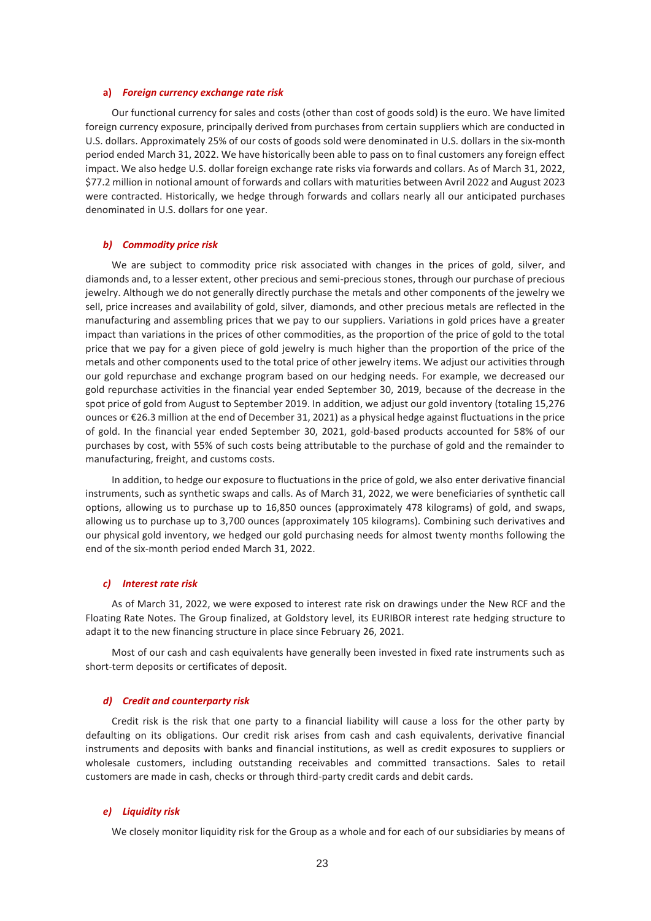## **a)** *Foreign currency exchange rate risk*

Our functional currency for sales and costs (other than cost of goods sold) is the euro. We have limited foreign currency exposure, principally derived from purchases from certain suppliers which are conducted in U.S. dollars. Approximately 25% of our costs of goods sold were denominated in U.S. dollars in the six-month period ended March 31, 2022. We have historically been able to pass on to final customers any foreign effect impact. We also hedge U.S. dollar foreign exchange rate risks via forwards and collars. As of March 31, 2022, \$77.2 million in notional amount of forwards and collars with maturities between Avril 2022 and August 2023 were contracted. Historically, we hedge through forwards and collars nearly all our anticipated purchases denominated in U.S. dollars for one year.

#### *b) Commodity price risk*

We are subject to commodity price risk associated with changes in the prices of gold, silver, and diamonds and, to a lesser extent, other precious and semi-precious stones, through our purchase of precious jewelry. Although we do not generally directly purchase the metals and other components of the jewelry we sell, price increases and availability of gold, silver, diamonds, and other precious metals are reflected in the manufacturing and assembling prices that we pay to our suppliers. Variations in gold prices have a greater impact than variations in the prices of other commodities, as the proportion of the price of gold to the total price that we pay for a given piece of gold jewelry is much higher than the proportion of the price of the metals and other components used to the total price of other jewelry items. We adjust our activities through our gold repurchase and exchange program based on our hedging needs. For example, we decreased our gold repurchase activities in the financial year ended September 30, 2019, because of the decrease in the spot price of gold from August to September 2019. In addition, we adjust our gold inventory (totaling 15,276 ounces or €26.3 million at the end of December 31, 2021) as a physical hedge against fluctuations in the price of gold. In the financial year ended September 30, 2021, gold-based products accounted for 58% of our purchases by cost, with 55% of such costs being attributable to the purchase of gold and the remainder to manufacturing, freight, and customs costs.

In addition, to hedge our exposure to fluctuations in the price of gold, we also enter derivative financial instruments, such as synthetic swaps and calls. As of March 31, 2022, we were beneficiaries of synthetic call options, allowing us to purchase up to 16,850 ounces (approximately 478 kilograms) of gold, and swaps, allowing us to purchase up to 3,700 ounces (approximately 105 kilograms). Combining such derivatives and our physical gold inventory, we hedged our gold purchasing needs for almost twenty months following the end of the six-month period ended March 31, 2022.

## *c) Interest rate risk*

As of March 31, 2022, we were exposed to interest rate risk on drawings under the New RCF and the Floating Rate Notes. The Group finalized, at Goldstory level, its EURIBOR interest rate hedging structure to adapt it to the new financing structure in place since February 26, 2021.

Most of our cash and cash equivalents have generally been invested in fixed rate instruments such as short-term deposits or certificates of deposit.

#### *d) Credit and counterparty risk*

Credit risk is the risk that one party to a financial liability will cause a loss for the other party by defaulting on its obligations. Our credit risk arises from cash and cash equivalents, derivative financial instruments and deposits with banks and financial institutions, as well as credit exposures to suppliers or wholesale customers, including outstanding receivables and committed transactions. Sales to retail customers are made in cash, checks or through third-party credit cards and debit cards.

#### *e) Liquidity risk*

We closely monitor liquidity risk for the Group as a whole and for each of our subsidiaries by means of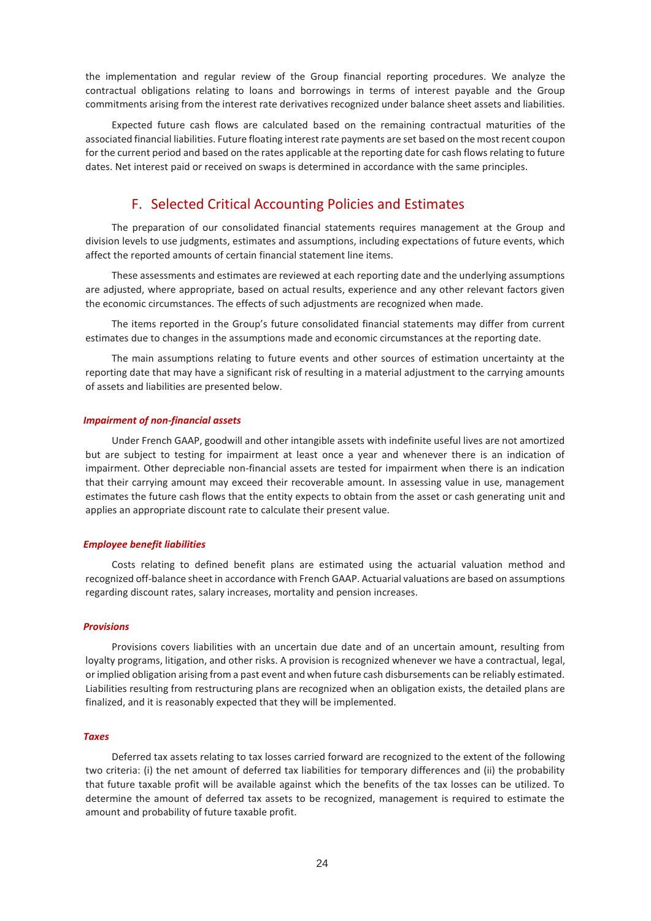the implementation and regular review of the Group financial reporting procedures. We analyze the contractual obligations relating to loans and borrowings in terms of interest payable and the Group commitments arising from the interest rate derivatives recognized under balance sheet assets and liabilities.

Expected future cash flows are calculated based on the remaining contractual maturities of the associated financial liabilities. Future floating interest rate payments are set based on the most recent coupon for the current period and based on the rates applicable at the reporting date for cash flows relating to future dates. Net interest paid or received on swaps is determined in accordance with the same principles.

## F. Selected Critical Accounting Policies and Estimates

The preparation of our consolidated financial statements requires management at the Group and division levels to use judgments, estimates and assumptions, including expectations of future events, which affect the reported amounts of certain financial statement line items.

These assessments and estimates are reviewed at each reporting date and the underlying assumptions are adjusted, where appropriate, based on actual results, experience and any other relevant factors given the economic circumstances. The effects of such adjustments are recognized when made.

The items reported in the Group's future consolidated financial statements may differ from current estimates due to changes in the assumptions made and economic circumstances at the reporting date.

The main assumptions relating to future events and other sources of estimation uncertainty at the reporting date that may have a significant risk of resulting in a material adjustment to the carrying amounts of assets and liabilities are presented below.

#### *Impairment of non-financial assets*

Under French GAAP, goodwill and other intangible assets with indefinite useful lives are not amortized but are subject to testing for impairment at least once a year and whenever there is an indication of impairment. Other depreciable non-financial assets are tested for impairment when there is an indication that their carrying amount may exceed their recoverable amount. In assessing value in use, management estimates the future cash flows that the entity expects to obtain from the asset or cash generating unit and applies an appropriate discount rate to calculate their present value.

#### *Employee benefit liabilities*

Costs relating to defined benefit plans are estimated using the actuarial valuation method and recognized off-balance sheet in accordance with French GAAP. Actuarial valuations are based on assumptions regarding discount rates, salary increases, mortality and pension increases.

#### *Provisions*

Provisions covers liabilities with an uncertain due date and of an uncertain amount, resulting from loyalty programs, litigation, and other risks. A provision is recognized whenever we have a contractual, legal, or implied obligation arising from a past event and when future cash disbursements can be reliably estimated. Liabilities resulting from restructuring plans are recognized when an obligation exists, the detailed plans are finalized, and it is reasonably expected that they will be implemented.

#### *Taxes*

Deferred tax assets relating to tax losses carried forward are recognized to the extent of the following two criteria: (i) the net amount of deferred tax liabilities for temporary differences and (ii) the probability that future taxable profit will be available against which the benefits of the tax losses can be utilized. To determine the amount of deferred tax assets to be recognized, management is required to estimate the amount and probability of future taxable profit.